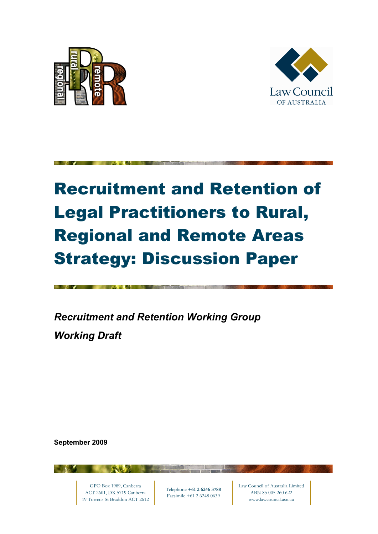



# Recruitment and Retention of Legal Practitioners to Rural, Regional and Remote Areas Strategy: Discussion Paper

*Recruitment and Retention Working Group Working Draft*

**September 2009**

GPO Box 1989, Canberra ACT 2601, DX 5719 Canberra 19 Torrens St Braddon ACT 2612

Telephone **+61 2 6246 3788**  Facsimile +61 2 6248 0639

T TEST

Law Council of Australia Limited ABN 85 005 260 622 www.lawcouncil.asn.au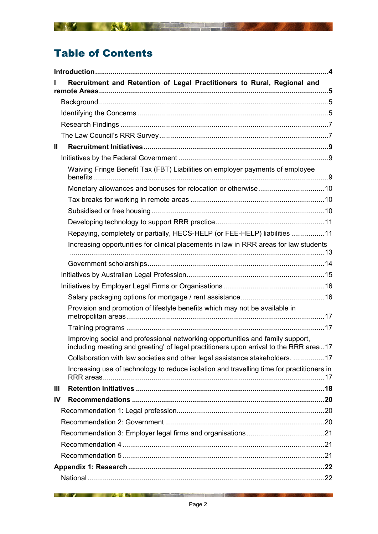# Table of Contents

|               | Recruitment and Retention of Legal Practitioners to Rural, Regional and                                                                                                 |  |  |
|---------------|-------------------------------------------------------------------------------------------------------------------------------------------------------------------------|--|--|
|               |                                                                                                                                                                         |  |  |
|               |                                                                                                                                                                         |  |  |
|               |                                                                                                                                                                         |  |  |
|               |                                                                                                                                                                         |  |  |
| $\mathbf{II}$ |                                                                                                                                                                         |  |  |
|               |                                                                                                                                                                         |  |  |
|               | Waiving Fringe Benefit Tax (FBT) Liabilities on employer payments of employee                                                                                           |  |  |
|               | Monetary allowances and bonuses for relocation or otherwise10                                                                                                           |  |  |
|               |                                                                                                                                                                         |  |  |
|               |                                                                                                                                                                         |  |  |
|               |                                                                                                                                                                         |  |  |
|               | Repaying, completely or partially, HECS-HELP (or FEE-HELP) liabilities 11                                                                                               |  |  |
|               | Increasing opportunities for clinical placements in law in RRR areas for law students                                                                                   |  |  |
|               |                                                                                                                                                                         |  |  |
|               |                                                                                                                                                                         |  |  |
|               |                                                                                                                                                                         |  |  |
|               |                                                                                                                                                                         |  |  |
|               | Provision and promotion of lifestyle benefits which may not be available in                                                                                             |  |  |
|               |                                                                                                                                                                         |  |  |
|               | Improving social and professional networking opportunities and family support,<br>including meeting and greeting' of legal practitioners upon arrival to the RRR area17 |  |  |
|               | Collaboration with law societies and other legal assistance stakeholders. 17                                                                                            |  |  |
|               | Increasing use of technology to reduce isolation and travelling time for practitioners in                                                                               |  |  |
| Ш             |                                                                                                                                                                         |  |  |
| IV.           |                                                                                                                                                                         |  |  |
|               |                                                                                                                                                                         |  |  |
|               |                                                                                                                                                                         |  |  |
|               |                                                                                                                                                                         |  |  |
|               |                                                                                                                                                                         |  |  |
|               |                                                                                                                                                                         |  |  |
|               |                                                                                                                                                                         |  |  |
|               |                                                                                                                                                                         |  |  |

A MARINE AND A COMMUNICATIONS OF THE RESIDENCE OF THE RESIDENCE OF THE RESIDENCE OF THE RESIDENCE OF THE RESIDENCE OF THE RESIDENCE OF THE RESIDENCE OF THE RESIDENCE OF THE RESIDENCE OF THE RESIDENCE OF THE RESIDENCE OF TH

**THE REAL PROPERTY OF A REAL PROPERTY OF A REAL PROPERTY OF A REAL PROPERTY OF A REAL PROPERTY OF A REAL PROPERTY**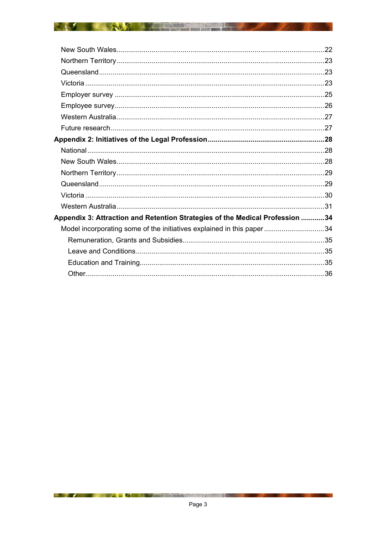| Appendix 3: Attraction and Retention Strategies of the Medical Profession 34 |                                                                       |  |
|------------------------------------------------------------------------------|-----------------------------------------------------------------------|--|
|                                                                              | Model incorporating some of the initiatives explained in this paper34 |  |
|                                                                              |                                                                       |  |
|                                                                              |                                                                       |  |
|                                                                              |                                                                       |  |
|                                                                              |                                                                       |  |
|                                                                              |                                                                       |  |

**BETWEEN THE REAL PROPERTY** 

**DEALER AND REAL PROPERTY**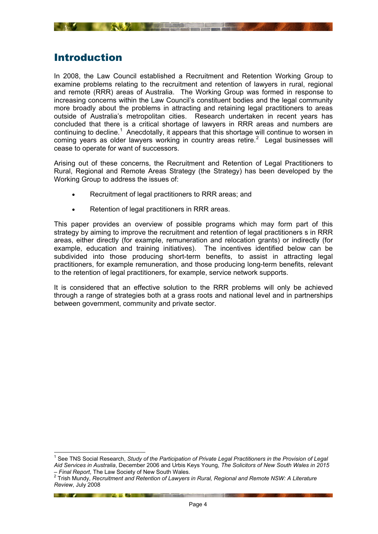<span id="page-3-0"></span>

## <span id="page-3-1"></span>Introduction

1

In 2008, the Law Council established a Recruitment and Retention Working Group to examine problems relating to the recruitment and retention of lawyers in rural, regional and remote (RRR) areas of Australia. The Working Group was formed in response to increasing concerns within the Law Council's constituent bodies and the legal community more broadly about the problems in attracting and retaining legal practitioners to areas outside of Australia's metropolitan cities. Research undertaken in recent years has concluded that there is a critical shortage of lawyers in RRR areas and numbers are continuing to decline.<sup>[1](#page-3-2)</sup> Anecdotally, it appears that this shortage will continue to worsen in coming years as older lawyers working in country areas retire. $2$  Legal businesses will cease to operate for want of successors.

Arising out of these concerns, the Recruitment and Retention of Legal Practitioners to Rural, Regional and Remote Areas Strategy (the Strategy) has been developed by the Working Group to address the issues of:

- Recruitment of legal practitioners to RRR areas; and
- Retention of legal practitioners in RRR areas.

This paper provides an overview of possible programs which may form part of this strategy by aiming to improve the recruitment and retention of legal practitioners s in RRR areas, either directly (for example, remuneration and relocation grants) or indirectly (for example, education and training initiatives). The incentives identified below can be subdivided into those producing short-term benefits, to assist in attracting legal practitioners, for example remuneration, and those producing long-term benefits, relevant to the retention of legal practitioners, for example, service network supports.

It is considered that an effective solution to the RRR problems will only be achieved through a range of strategies both at a grass roots and national level and in partnerships between government, community and private sector.

**EXAMPLE AND RESIDENCE IN A REPORT OF PERSONAL PROPERTY OF PERSONAL PROPERTY OF PERSONAL PROPERTY OF PERSONAL PROPERTY** 

<span id="page-3-2"></span><sup>&</sup>lt;sup>1</sup> See TNS Social Research, *Study of the Participation of Private Legal Practitioners in the Provision of Legal Aid Services in Australia*, December 2006 and Urbis Keys Young, *The Solicitors of New South Wales in 2015* 

<span id="page-3-3"></span>*<sup>–</sup> Final Report*, The Law Society of New South Wales.<br><sup>2</sup> Trish Mundy, *Recruitment and Retention of Lawyers in Rural, Regional and Remote NSW: A Literature Review*, July 2008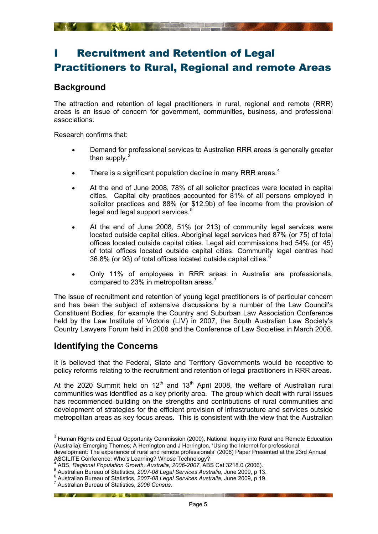# <span id="page-4-1"></span><span id="page-4-0"></span>**Recruitment and Retention of Legal** Practitioners to Rural, Regional and remote Areas

## **Background**

<span id="page-4-2"></span>The attraction and retention of legal practitioners in rural, regional and remote (RRR) areas is an issue of concern for government, communities, business, and professional associations.

Research confirms that:

- Demand for professional services to Australian RRR areas is generally greater than supply. $\frac{3}{2}$  $\frac{3}{2}$  $\frac{3}{2}$
- There is a significant population decline in many RRR areas. $4$
- At the end of June 2008, 78% of all solicitor practices were located in capital cities. Capital city practices accounted for 81% of all persons employed in solicitor practices and 88% (or \$12.9b) of fee income from the provision of legal and legal support services.<sup>[5](#page-4-6)</sup>
- At the end of June 2008, 51% (or 213) of community legal services were located outside capital cities. Aboriginal legal services had 87% (or 75) of total offices located outside capital cities. Legal aid commissions had 54% (or 45) of total offices located outside capital cities. Community legal centres had 36.8% (or 93) of total offices located outside capital cities.[6](#page-4-7)
- Only 11% of employees in RRR areas in Australia are professionals, compared to 23% in metropolitan areas.<sup>[7](#page-4-8)</sup>

The issue of recruitment and retention of young legal practitioners is of particular concern and has been the subject of extensive discussions by a number of the Law Council's Constituent Bodies, for example the Country and Suburban Law Association Conference held by the Law Institute of Victoria (LIV) in 2007, the South Australian Law Society's Country Lawyers Forum held in 2008 and the Conference of Law Societies in March 2008.

## <span id="page-4-3"></span>**Identifying the Concerns**

1

It is believed that the Federal, State and Territory Governments would be receptive to policy reforms relating to the recruitment and retention of legal practitioners in RRR areas.

At the 2020 Summit held on  $12<sup>th</sup>$  and  $13<sup>th</sup>$  April 2008, the welfare of Australian rural communities was identified as a key priority area. The group which dealt with rural issues has recommended building on the strengths and contributions of rural communities and development of strategies for the efficient provision of infrastructure and services outside metropolitan areas as key focus areas. This is consistent with the view that the Australian

ASCILITE Conference: Who's Learning? Whose Technology?<br>4.ABS - Regional Penulation Crouth - Australia 2006-2007, AB

**EXAMPLE AND ACTION CONTINUES.** 

<span id="page-4-4"></span> $^3$  Human Rights and Equal Opportunity Commission (2000), National Inquiry into Rural and Remote Education (Australia): Emerging Themes; A Herrington and J Herrington, 'Using the Internet for professional development: The experience of rural and remote professionals' (2006) Paper Presented at the 23rd Annual

ABS, *Regional Population Growth, Australia, 2006-2007*, ABS Cat 3218.0 (2006). 5

<span id="page-4-5"></span>Australian Bureau of Statistics, *2007-08 Legal Services Australia*, June 2009, p 13. <sup>6</sup>

<span id="page-4-8"></span><span id="page-4-7"></span><span id="page-4-6"></span>Australian Bureau of Statistics, *2007-08 Legal Services Australia*, June 2009, p 19. 7

Australian Bureau of Statistics, *2006 Census*.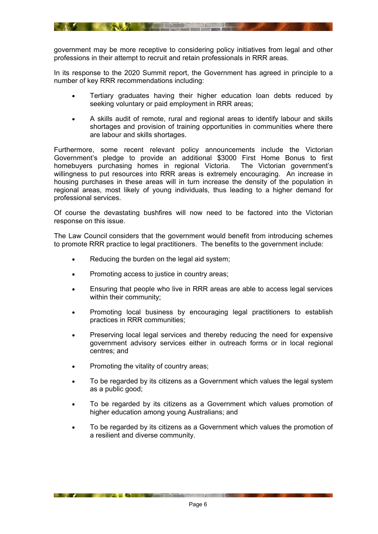government may be more receptive to considering policy initiatives from legal and other professions in their attempt to recruit and retain professionals in RRR areas.

In its response to the 2020 Summit report, the Government has agreed in principle to a number of key RRR recommendations including:

- Tertiary graduates having their higher education loan debts reduced by seeking voluntary or paid employment in RRR areas;
- A skills audit of remote, rural and regional areas to identify labour and skills shortages and provision of training opportunities in communities where there are labour and skills shortages.

Furthermore, some recent relevant policy announcements include the Victorian Government's pledge to provide an additional \$3000 First Home Bonus to first homebuyers purchasing homes in regional Victoria. The Victorian government's willingness to put resources into RRR areas is extremely encouraging. An increase in housing purchases in these areas will in turn increase the density of the population in regional areas, most likely of young individuals, thus leading to a higher demand for professional services.

Of course the devastating bushfires will now need to be factored into the Victorian response on this issue.

The Law Council considers that the government would benefit from introducing schemes to promote RRR practice to legal practitioners. The benefits to the government include:

- Reducing the burden on the legal aid system;
- Promoting access to justice in country areas;
- Ensuring that people who live in RRR areas are able to access legal services within their community;
- Promoting local business by encouraging legal practitioners to establish practices in RRR communities;
- Preserving local legal services and thereby reducing the need for expensive government advisory services either in outreach forms or in local regional centres; and
- Promoting the vitality of country areas;

**EXAMPLE AND ACTUALLY AND ACTUALLY AND ACTUALLY AND ACTUALLY AND ACTUALLY AND ACTUALLY AND ACTUALLY AND ACTUALLY AND ACTUALLY AND ACTUALLY AND ACTUALLY AND ACTUALLY AND ACTUALLY AND ACTUALLY AND ACTUALLY AND ACTUALLY AND A** 

- To be regarded by its citizens as a Government which values the legal system as a public good;
- To be regarded by its citizens as a Government which values promotion of higher education among young Australians; and
- To be regarded by its citizens as a Government which values the promotion of a resilient and diverse community.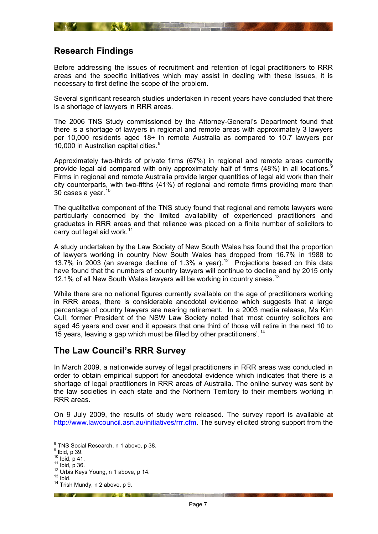<span id="page-6-1"></span><span id="page-6-0"></span>Before addressing the issues of recruitment and retention of legal practitioners to RRR areas and the specific initiatives which may assist in dealing with these issues, it is necessary to first define the scope of the problem.

**All developments** 

Several significant research studies undertaken in recent years have concluded that there is a shortage of lawyers in RRR areas.

The 2006 TNS Study commissioned by the Attorney-General's Department found that there is a shortage of lawyers in regional and remote areas with approximately 3 lawyers per 10,000 residents aged 18+ in remote Australia as compared to 10.7 lawyers per 10,000 in Australian capital cities.<sup>[8](#page-6-3)</sup>

Approximately two-thirds of private firms (67%) in regional and remote areas currently provide legal aid compared with only approximately half of firms (48%) in all locations.  $\overline{a}$ Firms in regional and remote Australia provide larger quantities of legal aid work than their city counterparts, with two-fifths (41%) of regional and remote firms providing more than 30 cases a year.[10](#page-6-5)

The qualitative component of the TNS study found that regional and remote lawyers were particularly concerned by the limited availability of experienced practitioners and graduates in RRR areas and that reliance was placed on a finite number of solicitors to carry out legal aid work. $11$ 

A study undertaken by the Law Society of New South Wales has found that the proportion of lawyers working in country New South Wales has dropped from 16.7% in 1988 to 13.7% in 2003 (an average decline of 1.3% a year).<sup>[12](#page-6-7)</sup> Projections based on this data have found that the numbers of country lawyers will continue to decline and by 2015 only 12.1% of all New South Wales lawyers will be working in country areas.<sup>[13](#page-6-8)</sup>

While there are no national figures currently available on the age of practitioners working in RRR areas, there is considerable anecdotal evidence which suggests that a large percentage of country lawyers are nearing retirement. In a 2003 media release, Ms Kim Cull, former President of the NSW Law Society noted that 'most country solicitors are aged 45 years and over and it appears that one third of those will retire in the next 10 to 15 years, leaving a gap which must be filled by other practitioners'.<sup>[14](#page-6-9)</sup>

## <span id="page-6-2"></span>**The Law Council's RRR Survey**

In March 2009, a nationwide survey of legal practitioners in RRR areas was conducted in order to obtain empirical support for anecdotal evidence which indicates that there is a shortage of legal practitioners in RRR areas of Australia. The online survey was sent by the law societies in each state and the Northern Territory to their members working in RRR areas.

On 9 July 2009, the results of study were released. The survey report is available at <http://www.lawcouncil.asn.au/initiatives/rrr.cfm>. The survey elicited strong support from the

*Committee State State State State State State State State State State State State State State State State State* 

 8 TNS Social Research, n 1 above, p 38.

<span id="page-6-3"></span> $^9$  Ibid, p 39.

<span id="page-6-7"></span><span id="page-6-6"></span>

<span id="page-6-5"></span><span id="page-6-4"></span><sup>10</sup> Ibid, p 41.<br>
11 Ibid, p 36.<br>
12 Urbis Keys Young, n 1 above, p 14.<br>
13 Ibid.<br>
<sup>14</sup> Trish Mundy, n 2 above, p 9.

<span id="page-6-8"></span>

<span id="page-6-9"></span>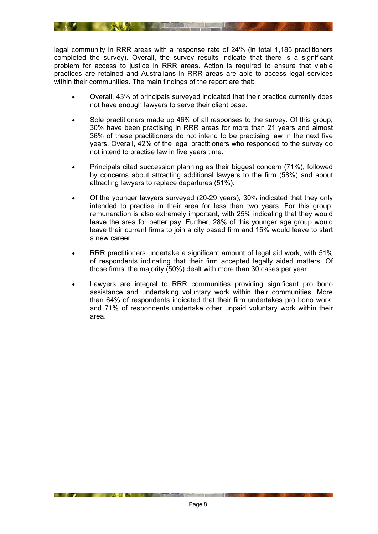legal community in RRR areas with a response rate of 24% (in total 1,185 practitioners completed the survey). Overall, the survey results indicate that there is a significant problem for access to justice in RRR areas. Action is required to ensure that viable practices are retained and Australians in RRR areas are able to access legal services within their communities. The main findings of the report are that:

- Overall, 43% of principals surveyed indicated that their practice currently does not have enough lawyers to serve their client base.
- Sole practitioners made up 46% of all responses to the survey. Of this group, 30% have been practising in RRR areas for more than 21 years and almost 36% of these practitioners do not intend to be practising law in the next five years. Overall, 42% of the legal practitioners who responded to the survey do not intend to practise law in five years time.
- Principals cited succession planning as their biggest concern (71%), followed by concerns about attracting additional lawyers to the firm (58%) and about attracting lawyers to replace departures (51%).
- Of the younger lawyers surveyed (20-29 years), 30% indicated that they only intended to practise in their area for less than two years. For this group, remuneration is also extremely important, with 25% indicating that they would leave the area for better pay. Further, 28% of this younger age group would leave their current firms to join a city based firm and 15% would leave to start a new career.
- RRR practitioners undertake a significant amount of legal aid work, with 51% of respondents indicating that their firm accepted legally aided matters. Of those firms, the majority (50%) dealt with more than 30 cases per year.
- Lawyers are integral to RRR communities providing significant pro bono assistance and undertaking voluntary work within their communities. More than 64% of respondents indicated that their firm undertakes pro bono work, and 71% of respondents undertake other unpaid voluntary work within their area.

**Example 19 A Property Construction of the Construction of the Construction of the Construction of the Construction**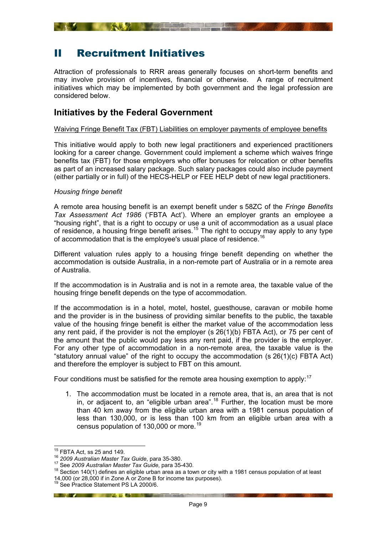# <span id="page-8-1"></span><span id="page-8-0"></span>II Recruitment Initiatives

Attraction of professionals to RRR areas generally focuses on short-term benefits and may involve provision of incentives, financial or otherwise. A range of recruitment initiatives which may be implemented by both government and the legal profession are considered below.

## **Initiatives by the Federal Government**

#### <span id="page-8-3"></span><span id="page-8-2"></span>Waiving Fringe Benefit Tax (FBT) Liabilities on employer payments of employee benefits

This initiative would apply to both new legal practitioners and experienced practitioners looking for a career change*.* Government could implement a scheme which waives fringe benefits tax (FBT) for those employers who offer bonuses for relocation or other benefits as part of an increased salary package. Such salary packages could also include payment (either partially or in full) of the HECS-HELP or FEE HELP debt of new legal practitioners.

#### *Housing fringe benefit*

A remote area housing benefit is an exempt benefit under s 58ZC of the *Fringe Benefits Tax Assessment Act 1986* ('FBTA Act'). Where an employer grants an employee a "housing right", that is a right to occupy or use a unit of accommodation as a usual place of residence, a housing fringe benefit arises.<sup>15</sup> The right to occupy may apply to any type of accommodation that is the employee's usual place of residence.<sup>[16](#page-8-5)</sup>

Different valuation rules apply to a housing fringe benefit depending on whether the accommodation is outside Australia, in a non-remote part of Australia or in a remote area of Australia.

If the accommodation is in Australia and is not in a remote area, the taxable value of the housing fringe benefit depends on the type of accommodation.

If the accommodation is in a hotel, motel, hostel, guesthouse, caravan or mobile home and the provider is in the business of providing similar benefits to the public, the taxable value of the housing fringe benefit is either the market value of the accommodation less any rent paid, if the provider is not the employer (s 26(1)(b) FBTA Act), or 75 per cent of the amount that the public would pay less any rent paid, if the provider is the employer. For any other type of accommodation in a non-remote area, the taxable value is the "statutory annual value" of the right to occupy the accommodation (s 26(1)(c) FBTA Act) and therefore the employer is subject to FBT on this amount.

Four conditions must be satisfied for the remote area housing exemption to apply:  $17$ 

1. The accommodation must be located in a remote area, that is, an area that is not in, or adjacent to, an "eligible urban area".<sup>18</sup> Further, the location must be more than 40 km away from the eligible urban area with a 1981 census population of less than 130,000, or is less than 100 km from an eligible urban area with a census population of 130,000 or more.[19](#page-8-8)

<span id="page-8-4"></span><sup>&</sup>lt;sup>15</sup> FBTA Act, ss 25 and 149.

<span id="page-8-6"></span><span id="page-8-5"></span><sup>&</sup>lt;sup>16</sup> 2009 Australian Master Tax Guide, para 35-380.<br><sup>17</sup> See 2009 Australian Master Tax Guide, para 35-430.<br><sup>18</sup> Section 140(1) defines an eligible urban area as a town or city with a 1981 census population of at least 14,000 (or 28,000 if in Zone A or Zone B for income tax purposes).

<span id="page-8-8"></span><span id="page-8-7"></span><sup>&</sup>lt;sup>19</sup> See Practice Statement PS LA 2000/6.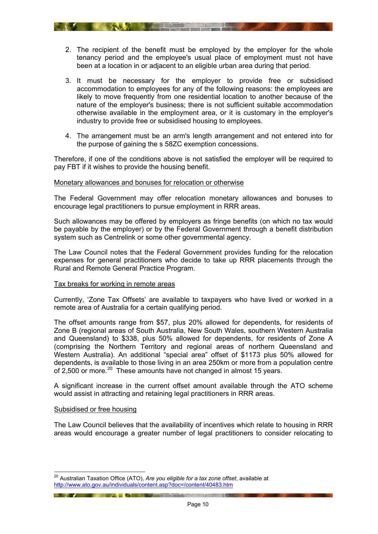- <span id="page-9-0"></span>2. The recipient of the benefit must be employed by the employer for the whole tenancy period and the employee's usual place of employment must not have been at a location in or adjacent to an eligible urban area during that period.
- 3. It must be necessary for the employer to provide free or subsidised accommodation to employees for any of the following reasons: the employees are likely to move frequently from one residential location to another because of the nature of the employer's business; there is not sufficient suitable accommodation otherwise available in the employment area, or it is customary in the employer's industry to provide free or subsidised housing to employees.
- 4. The arrangement must be an arm's length arrangement and not entered into for the purpose of gaining the s 58ZC exemption concessions.

Therefore, if one of the conditions above is not satisfied the employer will be required to pay FBT if it wishes to provide the housing benefit.

#### <span id="page-9-1"></span>Monetary allowances and bonuses for relocation or otherwise

The Federal Government may offer relocation monetary allowances and bonuses to encourage legal practitioners to pursue employment in RRR areas.

Such allowances may be offered by employers as fringe benefits (on which no tax would be payable by the employer) or by the Federal Government through a benefit distribution system such as Centrelink or some other governmental agency.

The Law Council notes that the Federal Government provides funding for the relocation expenses for general practitioners who decide to take up RRR placements through the Rural and Remote General Practice Program.

#### <span id="page-9-2"></span>Tax breaks for working in remote areas

Currently, 'Zone Tax Offsets' are available to taxpayers who have lived or worked in a remote area of Australia for a certain qualifying period.

The offset amounts range from \$57, plus 20% allowed for dependents, for residents of Zone B (regional areas of South Australia, New South Wales, southern Western Australia and Queensland) to \$338, plus 50% allowed for dependents, for residents of Zone A (comprising the Northern Territory and regional areas of northern Queensland and Western Australia). An additional "special area" offset of \$1173 plus 50% allowed for dependents, is available to those living in an area 250km or more from a population centre of 2,500 or more.<sup>[20](#page-9-4)</sup> These amounts have not changed in almost 15 years.

A significant increase in the current offset amount available through the ATO scheme would assist in attracting and retaining legal practitioners in RRR areas.

#### <span id="page-9-3"></span>Subsidised or free housing

1

The Law Council believes that the availability of incentives which relate to housing in RRR areas would encourage a greater number of legal practitioners to consider relocating to

**EXAMPLE AND STREET AND STREET AND STREET AND STREET AND STREET AND STREET AND STREET AND STREET AND STREET AND** 

<span id="page-9-4"></span><sup>20</sup> Australian Taxation Office (ATO), *Are you eligible for a tax zone offset*, available at http://www.ato.gov.au/individuals/content.asp?doc=/content/40483.htm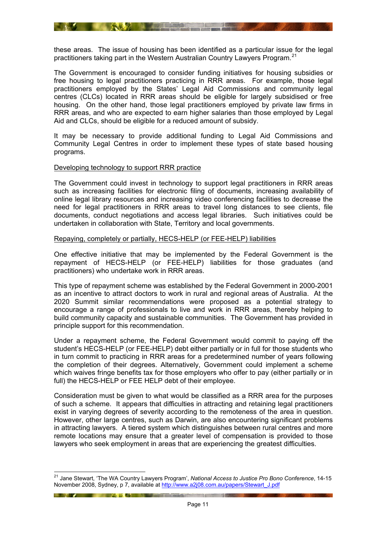<span id="page-10-0"></span>these areas. The issue of housing has been identified as a particular issue for the legal practitioners taking part in the Western Australian Country Lawyers Program.<sup>21</sup>

**The South Communication of the Communication of the Communication** 

The Government is encouraged to consider funding initiatives for housing subsidies or free housing to legal practitioners practicing in RRR areas. For example, those legal practitioners employed by the States' Legal Aid Commissions and community legal centres (CLCs) located in RRR areas should be eligible for largely subsidised or free housing. On the other hand, those legal practitioners employed by private law firms in RRR areas, and who are expected to earn higher salaries than those employed by Legal Aid and CLCs, should be eligible for a reduced amount of subsidy.

It may be necessary to provide additional funding to Legal Aid Commissions and Community Legal Centres in order to implement these types of state based housing programs.

#### <span id="page-10-1"></span>Developing technology to support RRR practice

The Government could invest in technology to support legal practitioners in RRR areas such as increasing facilities for electronic filing of documents, increasing availability of online legal library resources and increasing video conferencing facilities to decrease the need for legal practitioners in RRR areas to travel long distances to see clients, file documents, conduct negotiations and access legal libraries. Such initiatives could be undertaken in collaboration with State, Territory and local governments.

#### <span id="page-10-2"></span>Repaying, completely or partially, HECS-HELP (or FEE-HELP) liabilities

One effective initiative that may be implemented by the Federal Government is the repayment of HECS-HELP (or FEE-HELP) liabilities for those graduates (and practitioners) who undertake work in RRR areas.

This type of repayment scheme was established by the Federal Government in 2000-2001 as an incentive to attract doctors to work in rural and regional areas of Australia. At the 2020 Summit similar recommendations were proposed as a potential strategy to encourage a range of professionals to live and work in RRR areas, thereby helping to build community capacity and sustainable communities. The Government has provided in principle support for this recommendation.

Under a repayment scheme, the Federal Government would commit to paying off the student's HECS-HELP (or FEE-HELP) debt either partially or in full for those students who in turn commit to practicing in RRR areas for a predetermined number of years following the completion of their degrees. Alternatively, Government could implement a scheme which waives fringe benefits tax for those employers who offer to pay (either partially or in full) the HECS-HELP or FEE HELP debt of their employee.

Consideration must be given to what would be classified as a RRR area for the purposes of such a scheme. It appears that difficulties in attracting and retaining legal practitioners exist in varying degrees of severity according to the remoteness of the area in question. However, other large centres, such as Darwin, are also encountering significant problems in attracting lawyers. A tiered system which distinguishes between rural centres and more remote locations may ensure that a greater level of compensation is provided to those lawyers who seek employment in areas that are experiencing the greatest difficulties.

<span id="page-10-3"></span><sup>1</sup> 21 Jane Stewart, 'The WA Country Lawyers Program', *National Access to Justice Pro Bono Conference*, 14-15 November 2008, Sydney, p 7, available at http://www.a2j08.com.au/papers/Stewart\_J.pdf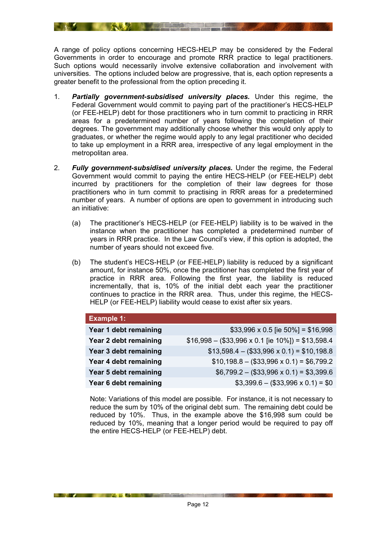A range of policy options concerning HECS-HELP may be considered by the Federal Governments in order to encourage and promote RRR practice to legal practitioners. Such options would necessarily involve extensive collaboration and involvement with universities. The options included below are progressive, that is, each option represents a greater benefit to the professional from the option preceding it.

- 1. *Partially government-subsidised university places.* Under this regime, the Federal Government would commit to paying part of the practitioner's HECS-HELP (or FEE-HELP) debt for those practitioners who in turn commit to practicing in RRR areas for a predetermined number of years following the completion of their degrees. The government may additionally choose whether this would only apply to graduates, or whether the regime would apply to any legal practitioner who decided to take up employment in a RRR area, irrespective of any legal employment in the metropolitan area.
- 2. *Fully government-subsidised university places.* Under the regime, the Federal Government would commit to paying the entire HECS-HELP (or FEE-HELP) debt incurred by practitioners for the completion of their law degrees for those practitioners who in turn commit to practising in RRR areas for a predetermined number of years. A number of options are open to government in introducing such an initiative:
	- (a) The practitioner's HECS-HELP (or FEE-HELP) liability is to be waived in the instance when the practitioner has completed a predetermined number of years in RRR practice. In the Law Council's view, if this option is adopted, the number of years should not exceed five.
	- (b) The student's HECS-HELP (or FEE-HELP) liability is reduced by a significant amount, for instance 50%, once the practitioner has completed the first year of practice in RRR area. Following the first year, the liability is reduced incrementally, that is, 10% of the initial debt each year the practitioner continues to practice in the RRR area. Thus, under this regime, the HECS-HELP (or FEE-HELP) liability would cease to exist after six years.

| <b>Example 1:</b>     |                                                            |  |  |  |
|-----------------------|------------------------------------------------------------|--|--|--|
| Year 1 debt remaining | \$33,996 x 0.5 [ie 50%] = \$16,998                         |  |  |  |
| Year 2 debt remaining | $$16,998 - ($33,996 \times 0.1$ [ie $10\%$ ]) = \$13,598.4 |  |  |  |
| Year 3 debt remaining | $$13,598.4 - ($33,996 \times 0.1) = $10,198.8$             |  |  |  |
| Year 4 debt remaining | $$10,198.8 - ($33,996 \times 0.1) = $6,799.2$              |  |  |  |
| Year 5 debt remaining | $$6,799.2 - ($33,996 \times 0.1) = $3,399.6$               |  |  |  |
| Year 6 debt remaining | $$3,399.6 - ($33,996 \times 0.1) = $0$                     |  |  |  |

Note: Variations of this model are possible. For instance, it is not necessary to reduce the sum by 10% of the original debt sum. The remaining debt could be reduced by 10%. Thus, in the example above the \$16,998 sum could be reduced by 10%, meaning that a longer period would be required to pay off the entire HECS-HELP (or FEE-HELP) debt.

<u>the second contract of the second contract of the second contract of the second contract of the second contract of the second contract of the second contract of the second contract of the second contract of the second con</u>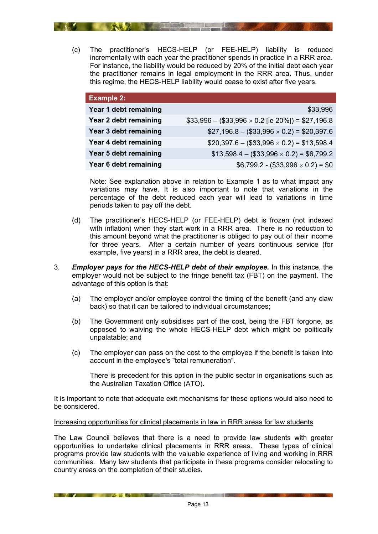<span id="page-12-0"></span>(c) The practitioner's HECS-HELP (or FEE-HELP) liability is reduced incrementally with each year the practitioner spends in practice in a RRR area. For instance, the liability would be reduced by 20% of the initial debt each year the practitioner remains in legal employment in the RRR area. Thus, under this regime, the HECS-HELP liability would cease to exist after five years.

**ANNA Extra Property** 

| <b>Example 2:</b>     |                                                            |
|-----------------------|------------------------------------------------------------|
| Year 1 debt remaining | \$33,996                                                   |
| Year 2 debt remaining | $$33,996 - ($33,996 \times 0.2$ [ie $20\%$ ]) = \$27,196.8 |
| Year 3 debt remaining | $$27,196.8 - ($33,996 \times 0.2) = $20,397.6$             |
| Year 4 debt remaining | $$20,397.6 - ($33,996 \times 0.2) = $13,598.4$             |
| Year 5 debt remaining | $$13,598.4 - ($33,996 \times 0.2) = $6,799.2$              |
| Year 6 debt remaining | $$6,799.2 - ($33,996 \times 0.2) = $0$                     |

Note: See explanation above in relation to Example 1 as to what impact any variations may have. It is also important to note that variations in the percentage of the debt reduced each year will lead to variations in time periods taken to pay off the debt.

- (d) The practitioner's HECS-HELP (or FEE-HELP) debt is frozen (not indexed with inflation) when they start work in a RRR area. There is no reduction to this amount beyond what the practitioner is obliged to pay out of their income for three years. After a certain number of years continuous service (for example, five years) in a RRR area, the debt is cleared.
- 3. *Employer pays for the HECS-HELP debt of their employee.* In this instance, the employer would not be subject to the fringe benefit tax (FBT) on the payment. The advantage of this option is that:
	- (a) The employer and/or employee control the timing of the benefit (and any claw back) so that it can be tailored to individual circumstances;
	- (b) The Government only subsidises part of the cost, being the FBT forgone, as opposed to waiving the whole HECS-HELP debt which might be politically unpalatable; and
	- (c) The employer can pass on the cost to the employee if the benefit is taken into account in the employee's "total remuneration".

There is precedent for this option in the public sector in organisations such as the Australian Taxation Office (ATO).

It is important to note that adequate exit mechanisms for these options would also need to be considered.

#### <span id="page-12-1"></span>Increasing opportunities for clinical placements in law in RRR areas for law students

**EXAMPLE AND RESIDENCE AND RESIDENCE AND RESIDENCE AND RESIDENCE AND RESIDENCE AND RESIDENCE AND RESIDENCE** 

The Law Council believes that there is a need to provide law students with greater opportunities to undertake clinical placements in RRR areas. These types of clinical programs provide law students with the valuable experience of living and working in RRR communities. Many law students that participate in these programs consider relocating to country areas on the completion of their studies.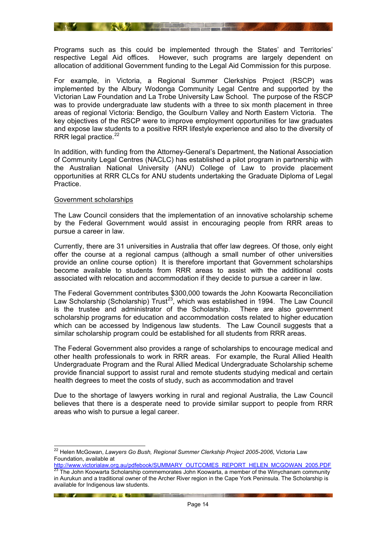<span id="page-13-0"></span>

**EXAMPLE AND ARRANGEMENT OF THE CONTRACT OF THE CONTRACT OF THE CONTRACT OF THE CONTRACT OF THE CONTRACT OF THE** 

For example, in Victoria, a Regional Summer Clerkships Project (RSCP) was implemented by the Albury Wodonga Community Legal Centre and supported by the Victorian Law Foundation and La Trobe University Law School. The purpose of the RSCP was to provide undergraduate law students with a three to six month placement in three areas of regional Victoria: Bendigo, the Goulburn Valley and North Eastern Victoria. The key objectives of the RSCP were to improve employment opportunities for law graduates and expose law students to a positive RRR lifestyle experience and also to the diversity of RRR legal practice.<sup>[22](#page-13-2)</sup>

In addition, with funding from the Attorney-General's Department, the National Association of Community Legal Centres (NACLC) has established a pilot program in partnership with the Australian National University (ANU) College of Law to provide placement opportunities at RRR CLCs for ANU students undertaking the Graduate Diploma of Legal Practice.

#### <span id="page-13-1"></span>Government scholarships

 $\overline{a}$ 

The Law Council considers that the implementation of an innovative scholarship scheme by the Federal Government would assist in encouraging people from RRR areas to pursue a career in law.

Currently, there are 31 universities in Australia that offer law degrees. Of those, only eight offer the course at a regional campus (although a small number of other universities provide an online course option) It is therefore important that Government scholarships become available to students from RRR areas to assist with the additional costs associated with relocation and accommodation if they decide to pursue a career in law.

The Federal Government contributes \$300,000 towards the John Koowarta Reconciliation Law Scholarship (Scholarship) Trust<sup>[23](#page-13-3)</sup>, which was established in 1994. The Law Council is the trustee and administrator of the Scholarship. There are also government scholarship programs for education and accommodation costs related to higher education which can be accessed by Indigenous law students. The Law Council suggests that a similar scholarship program could be established for all students from RRR areas.

The Federal Government also provides a range of scholarships to encourage medical and other health professionals to work in RRR areas. For example, the Rural Allied Health Undergraduate Program and the Rural Allied Medical Undergraduate Scholarship scheme provide financial support to assist rural and remote students studying medical and certain health degrees to meet the costs of study, such as accommodation and travel

Due to the shortage of lawyers working in rural and regional Australia, the Law Council believes that there is a desperate need to provide similar support to people from RRR areas who wish to pursue a legal career.

**The Common Section 1999 and 1999 and 1999 and 1999 and 1999 and 1999 and 1999 and 1999 and 1999 and 1999 and** 

<span id="page-13-2"></span><sup>22</sup> Helen McGowan, *Lawyers Go Bush, Regional Summer Clerkship Project 2005-2006*, Victoria Law Foundation, available at<br>http://www.victorialaw.org.au/pdfebook/SUMMARY\_OUTCOMES\_REPORT\_HELEN\_MCGOWAN\_2005.PDF

<span id="page-13-3"></span>http://www.victorialaw.org.au/persessing summary\_outcomes\_reported:<br><sup>23</sup> The John Koowarta Scholarship commemorates John Koowarta, a member of the Winychanam community in Aurukun and a traditional owner of the Archer River region in the Cape York Peninsula. The Scholarship is available for Indigenous law students.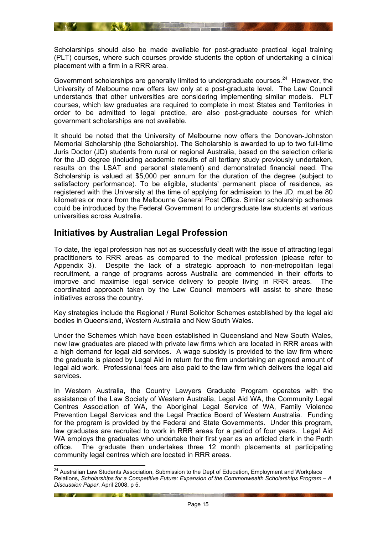<span id="page-14-0"></span>Scholarships should also be made available for post-graduate practical legal training (PLT) courses, where such courses provide students the option of undertaking a clinical placement with a firm in a RRR area.

Government scholarships are generally limited to undergraduate courses. $^{24}$  However, the University of Melbourne now offers law only at a post-graduate level. The Law Council understands that other universities are considering implementing similar models. PLT courses, which law graduates are required to complete in most States and Territories in order to be admitted to legal practice, are also post-graduate courses for which government scholarships are not available.

It should be noted that the University of Melbourne now offers the Donovan-Johnston Memorial Scholarship (the Scholarship). The Scholarship is awarded to up to two full-time Juris Doctor (JD) students from rural or regional Australia, based on the selection criteria for the JD degree (including academic results of all tertiary study previously undertaken, results on the LSAT and personal statement) and demonstrated financial need. The Scholarship is valued at \$5,000 per annum for the duration of the degree (subject to satisfactory performance). To be eligible, students' permanent place of residence, as registered with the University at the time of applying for admission to the JD, must be 80 kilometres or more from the Melbourne General Post Office. Similar scholarship schemes could be introduced by the Federal Government to undergraduate law students at various universities across Australia.

## <span id="page-14-1"></span>**Initiatives by Australian Legal Profession**

**Except of the Contract of the Contract of the Contract of the Contract of the Contract of the Contract of the Contract of the Contract of the Contract of the Contract of the Contract of the Contract of the Contract of the** 

1

To date, the legal profession has not as successfully dealt with the issue of attracting legal practitioners to RRR areas as compared to the medical profession (please refer to Appendix 3). Despite the lack of a strategic approach to non-metropolitan legal recruitment, a range of programs across Australia are commended in their efforts to improve and maximise legal service delivery to people living in RRR areas. The coordinated approach taken by the Law Council members will assist to share these initiatives across the country.

Key strategies include the Regional / Rural Solicitor Schemes established by the legal aid bodies in Queensland, Western Australia and New South Wales.

Under the Schemes which have been established in Queensland and New South Wales, new law graduates are placed with private law firms which are located in RRR areas with a high demand for legal aid services. A wage subsidy is provided to the law firm where the graduate is placed by Legal Aid in return for the firm undertaking an agreed amount of legal aid work. Professional fees are also paid to the law firm which delivers the legal aid services.

In Western Australia, the Country Lawyers Graduate Program operates with the assistance of the Law Society of Western Australia, Legal Aid WA, the Community Legal Centres Association of WA, the Aboriginal Legal Service of WA, Family Violence Prevention Legal Services and the Legal Practice Board of Western Australia. Funding for the program is provided by the Federal and State Governments. Under this program, law graduates are recruited to work in RRR areas for a period of four years. Legal Aid WA employs the graduates who undertake their first year as an articled clerk in the Perth office. The graduate then undertakes three 12 month placements at participating community legal centres which are located in RRR areas.

<span id="page-14-2"></span><sup>&</sup>lt;sup>24</sup> Australian Law Students Association, Submission to the Dept of Education, Employment and Workplace Relations, *Scholarships for a Competitive Future: Expansion of the Commonwealth Scholarships Program – A Discussion Paper*, April 2008, p 5.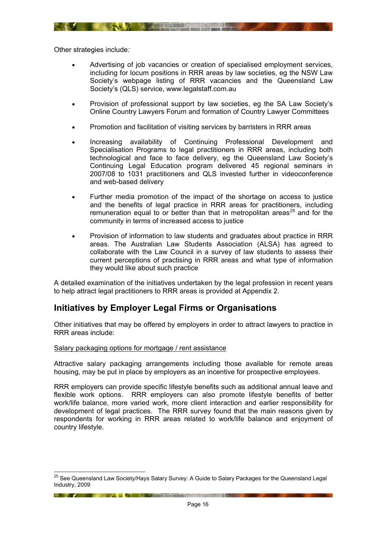<span id="page-15-0"></span>Other strategies include*:* 

- Advertising of job vacancies or creation of specialised employment services, including for locum positions in RRR areas by law societies, eg the NSW Law Society's webpage listing of RRR vacancies and the Queensland Law Society's (QLS) service, www.legalstaff.com.au
- Provision of professional support by law societies, eg the SA Law Society's Online Country Lawyers Forum and formation of Country Lawyer Committees
- Promotion and facilitation of visiting services by barristers in RRR areas

**Example 19 and 19 and 19 and 19 and 19 and 19 and 19 and 19 and 19 and 19 and 19 and 19 and 19 and 19 and 19 and** 

- Increasing availability of Continuing Professional Development and Specialisation Programs to legal practitioners in RRR areas, including both technological and face to face delivery, eg the Queensland Law Society's Continuing Legal Education program delivered 45 regional seminars in 2007/08 to 1031 practitioners and QLS invested further in videoconference and web-based delivery
- Further media promotion of the impact of the shortage on access to justice and the benefits of legal practice in RRR areas for practitioners, including remuneration equal to or better than that in metropolitan areas<sup>25</sup> and for the community in terms of increased access to justice
- Provision of information to law students and graduates about practice in RRR areas. The Australian Law Students Association (ALSA) has agreed to collaborate with the Law Council in a survey of law students to assess their current perceptions of practising in RRR areas and what type of information they would like about such practice

A detailed examination of the initiatives undertaken by the legal profession in recent years to help attract legal practitioners to RRR areas is provided at Appendix 2.

## <span id="page-15-1"></span>**Initiatives by Employer Legal Firms or Organisations**

Other initiatives that may be offered by employers in order to attract lawyers to practice in RRR areas include:

#### <span id="page-15-2"></span>Salary packaging options for mortgage / rent assistance

<u>in the second second and the second second second second second second second second second second second second second second second second second second second second second second second second second second second sec</u>

Attractive salary packaging arrangements including those available for remote areas housing, may be put in place by employers as an incentive for prospective employees.

RRR employers can provide specific lifestyle benefits such as additional annual leave and flexible work options. RRR employers can also promote lifestyle benefits of better work/life balance, more varied work, more client interaction and earlier responsibility for development of legal practices. The RRR survey found that the main reasons given by respondents for working in RRR areas related to work/life balance and enjoyment of country lifestyle.

<span id="page-15-3"></span><sup>1</sup> <sup>25</sup> See Queensland Law Society/Hays Salary Survey: A Guide to Salary Packages for the Queensland Legal Industry, 2009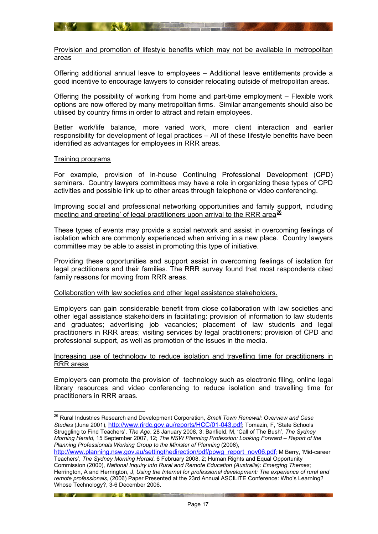<span id="page-16-1"></span><span id="page-16-0"></span>Provision and promotion of lifestyle benefits which may not be available in metropolitan areas

A STAR COMMUNICATION

Offering additional annual leave to employees – Additional leave entitlements provide a good incentive to encourage lawyers to consider relocating outside of metropolitan areas.

Offering the possibility of working from home and part-time employment – Flexible work options are now offered by many metropolitan firms. Similar arrangements should also be utilised by country firms in order to attract and retain employees.

Better work/life balance, more varied work, more client interaction and earlier responsibility for development of legal practices – All of these lifestyle benefits have been identified as advantages for employees in RRR areas.

#### <span id="page-16-2"></span>Training programs

 $\overline{a}$ 

**The Contract of the Contract of Street** 

For example, provision of in-house Continuing Professional Development (CPD) seminars. Country lawyers committees may have a role in organizing these types of CPD activities and possible link up to other areas through telephone or video conferencing.

#### <span id="page-16-3"></span>Improving social and professional networking opportunities and family support, including meeting and greeting' of legal practitioners upon arrival to the RRR area $^{26}$  $^{26}$  $^{26}$

These types of events may provide a social network and assist in overcoming feelings of isolation which are commonly experienced when arriving in a new place. Country lawyers committee may be able to assist in promoting this type of initiative.

Providing these opportunities and support assist in overcoming feelings of isolation for legal practitioners and their families. The RRR survey found that most respondents cited family reasons for moving from RRR areas.

#### <span id="page-16-4"></span>Collaboration with law societies and other legal assistance stakeholders*.*

Employers can gain considerable benefit from close collaboration with law societies and other legal assistance stakeholders in facilitating: provision of information to law students and graduates; advertising job vacancies; placement of law students and legal practitioners in RRR areas; visiting services by legal practitioners; provision of CPD and professional support, as well as promotion of the issues in the media.

#### <span id="page-16-5"></span>Increasing use of technology to reduce isolation and travelling time for practitioners in RRR areas

Employers can promote the provision of technology such as electronic filing, online legal library resources and video conferencing to reduce isolation and travelling time for practitioners in RRR areas.

**The Common Common Common Common Common Common Common Common Common Common Common Common Common Common Common Co** 

<span id="page-16-6"></span><sup>26</sup> Rural Industries Research and Development Corporation, *Small Town Renewal: Overview and Case Studies* (June 2001), http://www.rirdc.gov.au/reports/HCC/01-043.pdf; Tomazin, F, 'State Schools Struggling to Find Teachers', *The Age*, 28 January 2008, 3; Banfield, M, 'Call of The Bush', *The Sydney Morning Herald*, 15 September 2007, 12; *The NSW Planning Profession: Looking Forward – Report of the Planning Professionals Working Group to the Minister of Planning* (2006),

http://www.planning.nsw.gov.au/settingthedirection/pdf/ppwg\_report\_nov06.pdf; M Berry, 'Mid-career Teachers', *The Sydney Morning Herald*, 6 February 2008, 2; Human Rights and Equal Opportunity Commission (2000), *National Inquiry into Rural and Remote Education (Australia): Emerging Themes*; Herrington, A and Herrington, J, *Using the Internet for professional development: The experience of rural and remote professionals*, (2006) Paper Presented at the 23rd Annual ASCILITE Conference: Who's Learning? Whose Technology?, 3-6 December 2006.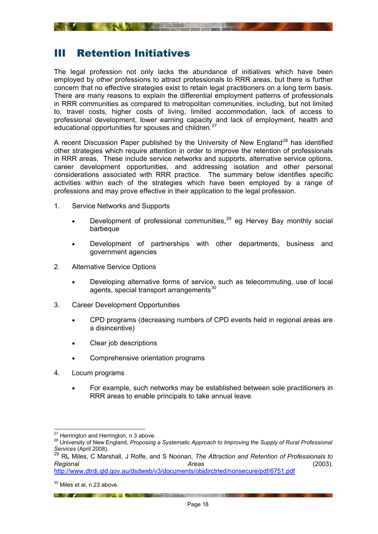## <span id="page-17-1"></span><span id="page-17-0"></span>III Retention Initiatives

The legal profession not only lacks the abundance of initiatives which have been employed by other professions to attract professionals to RRR areas, but there is further concern that no effective strategies exist to retain legal practitioners on a long term basis. There are many reasons to explain the differential employment patterns of professionals in RRR communities as compared to metropolitan communities, including, but not limited to, travel costs, higher costs of living, limited accommodation, lack of access to professional development, lower earning capacity and lack of employment, health and educational opportunities for spouses and children.<sup>[27](#page-17-2)</sup>

A recent Discussion Paper published by the University of New England<sup>[28](#page-17-3)</sup> has identified other strategies which require attention in order to improve the retention of professionals in RRR areas. These include service networks and supports, alternative service options, career development opportunities, and addressing isolation and other personal considerations associated with RRR practice. The summary below identifies specific activities within each of the strategies which have been employed by a range of professions and may prove effective in their application to the legal profession.

- 1. Service Networks and Supports
	- Development of professional communities, $29$  eg Hervey Bay monthly social barbeque
	- Development of partnerships with other departments, business and government agencies
- 2. Alternative Service Options
	- Developing alternative forms of service, such as telecommuting, use of local agents, special transport arrangements $30$
- 3. Career Development Opportunities
	- CPD programs (decreasing numbers of CPD events held in regional areas are a disincentive)
	- Clear job descriptions
	- Comprehensive orientation programs

- 4. Locum programs
	- For example, such networks may be established between sole practitioners in RRR areas to enable principals to take annual leave.

<sup>&</sup>lt;sup>27</sup> Herrington and Herrington, n 3 above.

<span id="page-17-3"></span><span id="page-17-2"></span><sup>28</sup> University of New England, *Proposing a Systematic Approach to Improving the Supply of Rural Professional Services* (April 2008).

<span id="page-17-4"></span><sup>29</sup> RL Miles, C Marshall, J Rolfe, and S Noonan, *The Attraction and Retention of Professionals to Regional Areas* (2003).

http://www.dtrdi.qld.gov.au/dsdweb/v3/documents/objdirctrled/nonsecure/pdf/6751.pdf

<span id="page-17-5"></span> $30$  Miles et al, n 23 above.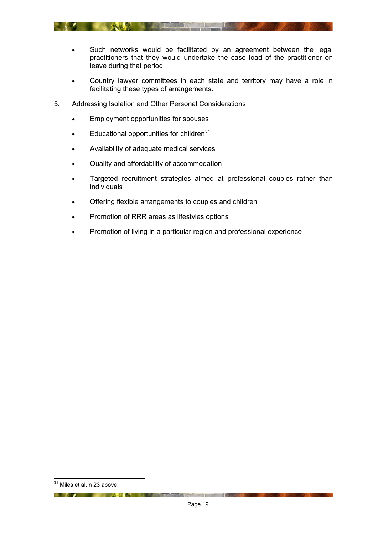

- Country lawyer committees in each state and territory may have a role in facilitating these types of arrangements.
- 5. Addressing Isolation and Other Personal Considerations

**READ PRODUCTS** 

- Employment opportunities for spouses
- $\bullet$  Educational opportunities for children<sup>[31](#page-18-0)</sup>
- Availability of adequate medical services
- Quality and affordability of accommodation
- Targeted recruitment strategies aimed at professional couples rather than individuals
- Offering flexible arrangements to couples and children
- Promotion of RRR areas as lifestyles options
- Promotion of living in a particular region and professional experience

**Except of the Community of the Community of the Community of the Community of the Community of the Community** 

<span id="page-18-0"></span> $\overline{a}$  $31$  Miles et al, n 23 above.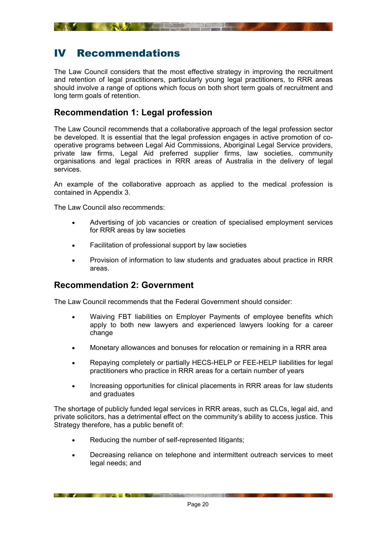# <span id="page-19-1"></span><span id="page-19-0"></span>IV Recommendations

The Law Council considers that the most effective strategy in improving the recruitment and retention of legal practitioners, particularly young legal practitioners, to RRR areas should involve a range of options which focus on both short term goals of recruitment and long term goals of retention.

## <span id="page-19-2"></span>**Recommendation 1: Legal profession**

The Law Council recommends that a collaborative approach of the legal profession sector be developed. It is essential that the legal profession engages in active promotion of cooperative programs between Legal Aid Commissions, Aboriginal Legal Service providers, private law firms, Legal Aid preferred supplier firms, law societies, community organisations and legal practices in RRR areas of Australia in the delivery of legal services.

An example of the collaborative approach as applied to the medical profession is contained in Appendix 3.

The Law Council also recommends:

- Advertising of job vacancies or creation of specialised employment services for RRR areas by law societies
- Facilitation of professional support by law societies
- Provision of information to law students and graduates about practice in RRR areas.

## <span id="page-19-3"></span>**Recommendation 2: Government**

**EXAMPLE AND ACTION AND ACTION AND ACTION CONTINUES.** 

The Law Council recommends that the Federal Government should consider:

- Waiving FBT liabilities on Employer Payments of employee benefits which apply to both new lawyers and experienced lawyers looking for a career change
- Monetary allowances and bonuses for relocation or remaining in a RRR area
- Repaying completely or partially HECS-HELP or FEE-HELP liabilities for legal practitioners who practice in RRR areas for a certain number of years
- Increasing opportunities for clinical placements in RRR areas for law students and graduates

The shortage of publicly funded legal services in RRR areas, such as CLCs, legal aid, and private solicitors, has a detrimental effect on the community's ability to access justice. This Strategy therefore, has a public benefit of:

- Reducing the number of self-represented litigants;
- Decreasing reliance on telephone and intermittent outreach services to meet legal needs; and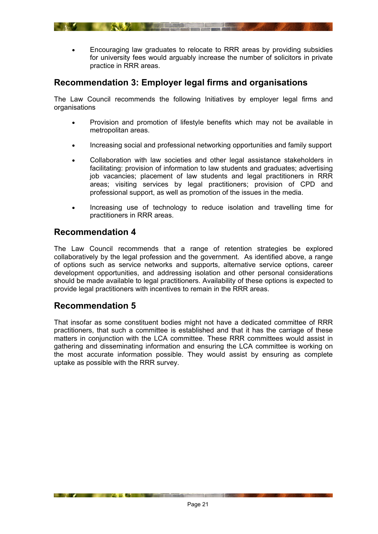<span id="page-20-0"></span>• Encouraging law graduates to relocate to RRR areas by providing subsidies for university fees would arguably increase the number of solicitors in private practice in RRR areas.

## <span id="page-20-1"></span>**Recommendation 3: Employer legal firms and organisations**

**ANY LEADER** 

The Law Council recommends the following Initiatives by employer legal firms and organisations

- Provision and promotion of lifestyle benefits which may not be available in metropolitan areas.
- Increasing social and professional networking opportunities and family support
- Collaboration with law societies and other legal assistance stakeholders in facilitating: provision of information to law students and graduates; advertising job vacancies; placement of law students and legal practitioners in RRR areas; visiting services by legal practitioners; provision of CPD and professional support, as well as promotion of the issues in the media.
- Increasing use of technology to reduce isolation and travelling time for practitioners in RRR areas.

## <span id="page-20-2"></span>**Recommendation 4**

The Law Council recommends that a range of retention strategies be explored collaboratively by the legal profession and the government. As identified above, a range of options such as service networks and supports, alternative service options, career development opportunities, and addressing isolation and other personal considerations should be made available to legal practitioners. Availability of these options is expected to provide legal practitioners with incentives to remain in the RRR areas.

## <span id="page-20-3"></span>**Recommendation 5**

**EXAMPLE AND AND ACTUAL AND ACTUAL AND ACTUAL AND ACTUAL ACTIVITY OF A REPORT OF A REPORT OF A REPORT OF A REPORT OF A REPORT OF A REPORT OF A REPORT OF A REPORT OF A REPORT OF A REPORT OF A REPORT OF A REPORT OF A REPORT** 

That insofar as some constituent bodies might not have a dedicated committee of RRR practitioners, that such a committee is established and that it has the carriage of these matters in conjunction with the LCA committee. These RRR committees would assist in gathering and disseminating information and ensuring the LCA committee is working on the most accurate information possible. They would assist by ensuring as complete uptake as possible with the RRR survey.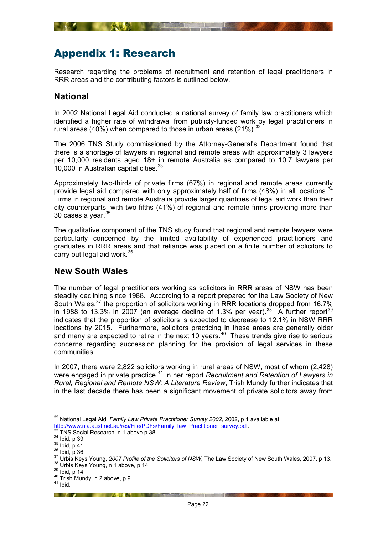# <span id="page-21-1"></span><span id="page-21-0"></span>Appendix 1: Research

Research regarding the problems of recruitment and retention of legal practitioners in RRR areas and the contributing factors is outlined below.

## <span id="page-21-2"></span>**National**

In 2002 National Legal Aid conducted a national survey of family law practitioners which identified a higher rate of withdrawal from publicly-funded work by legal practitioners in rural areas (40%) when compared to those in urban areas (21%).  $32$ 

The 2006 TNS Study commissioned by the Attorney-General's Department found that there is a shortage of lawyers in regional and remote areas with approximately 3 lawyers per 10,000 residents aged 18+ in remote Australia as compared to 10.7 lawyers per 10,000 in Australian capital cities.<sup>33</sup>

Approximately two-thirds of private firms (67%) in regional and remote areas currently provide legal aid compared with only approximately half of firms  $(48%)$  in all locations.<sup>[34](#page-21-6)</sup> Firms in regional and remote Australia provide larger quantities of legal aid work than their city counterparts, with two-fifths (41%) of regional and remote firms providing more than 30 cases a vear.<sup>[35](#page-21-7)</sup>

The qualitative component of the TNS study found that regional and remote lawyers were particularly concerned by the limited availability of experienced practitioners and graduates in RRR areas and that reliance was placed on a finite number of solicitors to carry out legal aid work.<sup>[36](#page-21-8)</sup>

## <span id="page-21-3"></span>**New South Wales**

The number of legal practitioners working as solicitors in RRR areas of NSW has been steadily declining since 1988. According to a report prepared for the Law Society of New South Wales,<sup>[37](#page-21-9)</sup> the proportion of solicitors working in RRR locations dropped from 16.7% in 1988 to 13.3% in 2007 (an average decline of 1.3% per year).<sup>[38](#page-21-10)</sup> A further report<sup>[39](#page-21-11)</sup> indicates that the proportion of solicitors is expected to decrease to 12.1% in NSW RRR locations by 2015. Furthermore, solicitors practicing in these areas are generally older and many are expected to retire in the next 10 years.<sup>40</sup> These trends give rise to serious concerns regarding succession planning for the provision of legal services in these communities.

In 2007, there were 2,822 solicitors working in rural areas of NSW, most of whom (2,428) were engaged in private practice.<sup>41</sup> In her report *Recruitment and Retention of Lawyers in Rural, Regional and Remote NSW: A Literature Review*, Trish Mundy further indicates that in the last decade there has been a significant movement of private solicitors away from

 $\overline{a}$ 

**EXAMPLE AND ACTUAL ACTUAL CONTRACTOR** 

<span id="page-21-4"></span><sup>32</sup> National Legal Aid, *Family Law Private Practitioner Survey 2002*, 2002, p 1 available at http://www.nla.aust.net.au/res/File/PDFs/Family\_law\_Practitioner\_survey.pdf.<br><sup>33</sup> TNS Social Research, n 1 above p 38.<br><sup>34</sup> Ibid, p 39.<br><sup>35</sup> Ibid, p 39.<br><sup>35</sup> Ibid, p 41.<br><sup>36</sup> Ibid, p 36.<br><sup>37</sup> Urbis Keys Young, 2007 Profile

<span id="page-21-6"></span><span id="page-21-5"></span>

<span id="page-21-7"></span>

<span id="page-21-10"></span><span id="page-21-9"></span><span id="page-21-8"></span>

<span id="page-21-12"></span><span id="page-21-11"></span>

<span id="page-21-13"></span>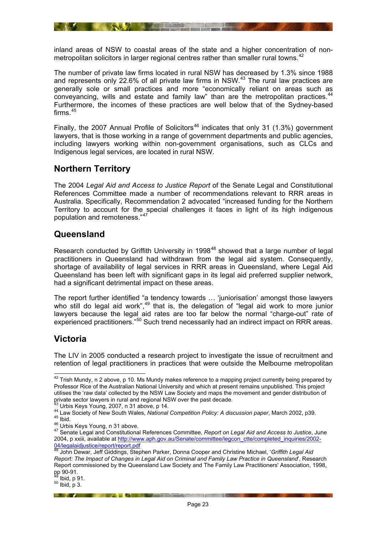<span id="page-22-0"></span>inland areas of NSW to coastal areas of the state and a higher concentration of nonmetropolitan solicitors in larger regional centres rather than smaller rural towns.<sup>42</sup>

**ANTIQUE DE L'ANTIQUE L'ANTIQUE DE L'ANTIQUE DE L'ANTIQUE DE L'ANTIQUE DE L'ANTIQUE DE L'ANTIQUE DE L'ANTIQUE D** 

The number of private law firms located in rural NSW has decreased by 1.3% since 1988 and represents only 22.6% of all private law firms in NSW.<sup>43</sup> The rural law practices are generally sole or small practices and more "economically reliant on areas such as conveyancing, wills and estate and family law" than are the metropolitan practices.<sup>[44](#page-22-6)</sup> Furthermore, the incomes of these practices are well below that of the Sydney-based firms. $45$ 

Finally, the 2007 Annual Profile of Solicitors<sup>[46](#page-22-8)</sup> indicates that only 31 (1.3%) government lawyers, that is those working in a range of government departments and public agencies, including lawyers working within non-government organisations, such as CLCs and Indigenous legal services, are located in rural NSW.

## <span id="page-22-1"></span>**Northern Territory**

The 2004 *Legal Aid and Access to Justice Report* of the Senate Legal and Constitutional References Committee made a number of recommendations relevant to RRR areas in Australia. Specifically, Recommendation 2 advocated "increased funding for the Northern Territory to account for the special challenges it faces in light of its high indigenous population and remoteness."[47](#page-22-9)

## <span id="page-22-2"></span>**Queensland**

Research conducted by Griffith University in 1998<sup>[48](#page-22-10)</sup> showed that a large number of legal practitioners in Queensland had withdrawn from the legal aid system. Consequently, shortage of availability of legal services in RRR areas in Queensland, where Legal Aid Queensland has been left with significant gaps in its legal aid preferred supplier network, had a significant detrimental impact on these areas.

The report further identified "a tendency towards … 'juniorisation' amongst those lawyers who still do legal aid work",<sup>49</sup> that is, the delegation of "legal aid work to more junior lawyers because the legal aid rates are too far below the normal "charge-out" rate of experienced practitioners.<sup>"[50](#page-22-12)</sup> Such trend necessarily had an indirect impact on RRR areas.

## <span id="page-22-3"></span>**Victoria**

The LIV in 2005 conducted a research project to investigate the issue of recruitment and retention of legal practitioners in practices that were outside the Melbourne metropolitan

**EXAMPLE AND ACCOUNT AND ACCOUNT AND ACCOUNT AND ACCOUNT AND ACCOUNT AND ACCOUNT ACCOUNT AND ACCOUNT ACCOUNT ACCOUNT ACCOUNT ACCOUNT ACCOUNT ACCOUNT ACCOUNT ACCOUNT ACCOUNT ACCOUNT ACCOUNT ACCOUNT ACCOUNT ACCOUNT ACCOUNT A** 

<span id="page-22-4"></span><sup>1</sup>  $^{42}$  Trish Mundy, n 2 above, p 10. Ms Mundy makes reference to a mapping project currently being prepared by Professor Rice of the Australian National University and which at present remains unpublished. This project utilises the 'raw data' collected by the NSW Law Society and maps the movement and gender distribution of private sector lawyers in rural and regional NSW over the past decade.

<span id="page-22-6"></span><span id="page-22-5"></span><sup>&</sup>lt;sup>43</sup> Urbis Keys Young, 2007, n 31 above, p 14.<br><sup>44</sup> Law Society of New South Wales, National Competition Policy: A discussion paper, March 2002, p39.<br><sup>45</sup> Ibid.<br><sup>46</sup> Urbis Keys Young, n 31 above.<br><sup>47</sup> Senate Legal and Cons

<span id="page-22-8"></span><span id="page-22-7"></span>

<span id="page-22-9"></span><sup>2004,</sup> p xxiii, available at http://www.aph.gov.au/Senate/committee/legcon\_ctte/completed\_inquiries/2002-04/legalaidjustice/report/report.pdf

<span id="page-22-10"></span><sup>48</sup> John Dewar, Jeff Giddings, Stephen Parker, Donna Cooper and Christine Michael, '*Griffith Legal Aid Report: The Impact of Changes in Legal Aid on Criminal and Family Law Practice in Queensland*', Research Report commissioned by the Queensland Law Society and The Family Law Practitioners' Association, 1998, pp 90-91.<br><sup>49</sup> Ibid, p 91.

<span id="page-22-12"></span><span id="page-22-11"></span> $50$  Ibid, p 3.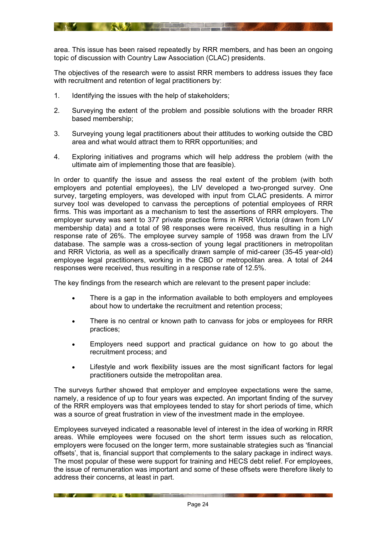area. This issue has been raised repeatedly by RRR members, and has been an ongoing topic of discussion with Country Law Association (CLAC) presidents.

The objectives of the research were to assist RRR members to address issues they face with recruitment and retention of legal practitioners by:

- 1. Identifying the issues with the help of stakeholders;
- 2. Surveying the extent of the problem and possible solutions with the broader RRR based membership;
- 3. Surveying young legal practitioners about their attitudes to working outside the CBD area and what would attract them to RRR opportunities; and
- 4. Exploring initiatives and programs which will help address the problem (with the ultimate aim of implementing those that are feasible).

In order to quantify the issue and assess the real extent of the problem (with both employers and potential employees), the LIV developed a two-pronged survey. One survey, targeting employers, was developed with input from CLAC presidents. A mirror survey tool was developed to canvass the perceptions of potential employees of RRR firms. This was important as a mechanism to test the assertions of RRR employers. The employer survey was sent to 377 private practice firms in RRR Victoria (drawn from LIV membership data) and a total of 98 responses were received, thus resulting in a high response rate of 26%. The employee survey sample of 1958 was drawn from the LIV database. The sample was a cross-section of young legal practitioners in metropolitan and RRR Victoria, as well as a specifically drawn sample of mid-career (35-45 year-old) employee legal practitioners, working in the CBD or metropolitan area. A total of 244 responses were received, thus resulting in a response rate of 12.5%.

The key findings from the research which are relevant to the present paper include:

- There is a gap in the information available to both employers and employees about how to undertake the recruitment and retention process;
- There is no central or known path to canvass for jobs or employees for RRR practices;
- Employers need support and practical guidance on how to go about the recruitment process; and
- Lifestyle and work flexibility issues are the most significant factors for legal practitioners outside the metropolitan area.

The surveys further showed that employer and employee expectations were the same, namely, a residence of up to four years was expected. An important finding of the survey of the RRR employers was that employees tended to stay for short periods of time, which was a source of great frustration in view of the investment made in the employee.

Employees surveyed indicated a reasonable level of interest in the idea of working in RRR areas. While employees were focused on the short term issues such as relocation, employers were focused on the longer term, more sustainable strategies such as 'financial offsets', that is, financial support that complements to the salary package in indirect ways. The most popular of these were support for training and HECS debt relief. For employees, the issue of remuneration was important and some of these offsets were therefore likely to address their concerns, at least in part.

**Example 19 And 19 And 19 And 19 And 19 And 19 And 19 And 19 And 19 And 19 And 19 And 19 And 19 And 19 And 19 And 19 And 19 And 19 And 19 And 19 And 19 And 19 And 19 And 19 And 19 And 19 And 19 And 19 And 19 And 19 And 19**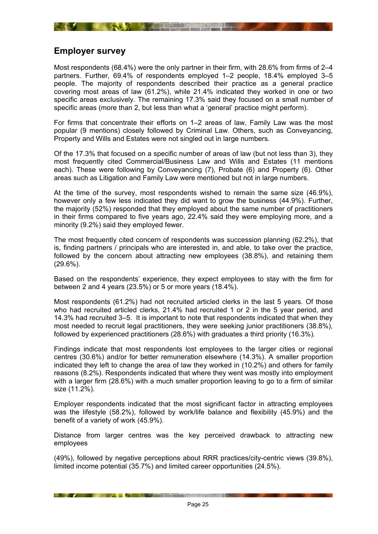<span id="page-24-1"></span><span id="page-24-0"></span>

## **Employer survey**

Most respondents (68.4%) were the only partner in their firm, with 28.6% from firms of 2–4 partners. Further, 69.4% of respondents employed 1–2 people, 18.4% employed 3–5 people. The majority of respondents described their practice as a general practice covering most areas of law (61.2%), while 21.4% indicated they worked in one or two specific areas exclusively. The remaining 17.3% said they focused on a small number of specific areas (more than 2, but less than what a 'general' practice might perform).

For firms that concentrate their efforts on 1–2 areas of law, Family Law was the most popular (9 mentions) closely followed by Criminal Law. Others, such as Conveyancing, Property and Wills and Estates were not singled out in large numbers.

Of the 17.3% that focused on a specific number of areas of law (but not less than 3), they most frequently cited Commercial/Business Law and Wills and Estates (11 mentions each). These were following by Conveyancing (7), Probate (6) and Property (6). Other areas such as Litigation and Family Law were mentioned but not in large numbers.

At the time of the survey, most respondents wished to remain the same size (46.9%), however only a few less indicated they did want to grow the business (44.9%). Further, the majority (52%) responded that they employed about the same number of practitioners in their firms compared to five years ago, 22.4% said they were employing more, and a minority (9.2%) said they employed fewer.

The most frequently cited concern of respondents was succession planning (62.2%), that is, finding partners / principals who are interested in, and able, to take over the practice, followed by the concern about attracting new employees (38.8%), and retaining them (29.6%).

Based on the respondents' experience, they expect employees to stay with the firm for between 2 and 4 years (23.5%) or 5 or more years (18.4%).

Most respondents (61.2%) had not recruited articled clerks in the last 5 years. Of those who had recruited articled clerks, 21.4% had recruited 1 or 2 in the 5 year period, and 14.3% had recruited 3–5. It is important to note that respondents indicated that when they most needed to recruit legal practitioners, they were seeking junior practitioners (38.8%), followed by experienced practitioners (28.6%) with graduates a third priority (16.3%).

Findings indicate that most respondents lost employees to the larger cities or regional centres (30.6%) and/or for better remuneration elsewhere (14.3%). A smaller proportion indicated they left to change the area of law they worked in (10.2%) and others for family reasons (8.2%). Respondents indicated that where they went was mostly into employment with a larger firm (28.6%) with a much smaller proportion leaving to go to a firm of similar size (11.2%).

Employer respondents indicated that the most significant factor in attracting employees was the lifestyle (58.2%), followed by work/life balance and flexibility (45.9%) and the benefit of a variety of work (45.9%).

Distance from larger centres was the key perceived drawback to attracting new employees

(49%), followed by negative perceptions about RRR practices/city-centric views (39.8%), limited income potential (35.7%) and limited career opportunities (24.5%).

**EXAMPLE AND RESIDENCE OF A SERVICE OF A SERVICE OF A SERVICE OF A SERVICE OF A SERVICE OF A SERVICE OF A SERVICE OF A SERVICE OF A SERVICE OF A SERVICE OF A SERVICE OF A SERVICE OF A SERVICE OF A SERVICE OF A SERVICE OF A**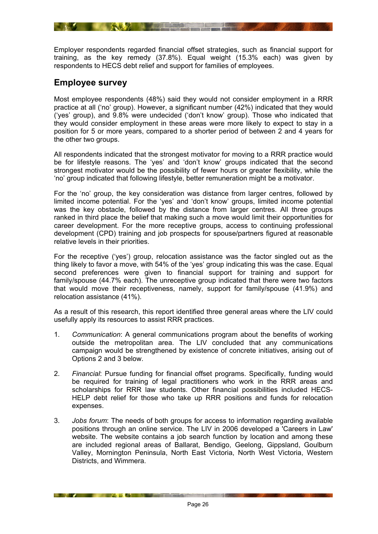<span id="page-25-0"></span>Employer respondents regarded financial offset strategies, such as financial support for training, as the key remedy (37.8%). Equal weight (15.3% each) was given by respondents to HECS debt relief and support for families of employees.

**A SERVE DE L'ALLES LA CALLES** 

## <span id="page-25-1"></span>**Employee survey**

Most employee respondents (48%) said they would not consider employment in a RRR practice at all ('no' group). However, a significant number (42%) indicated that they would ('yes' group), and 9.8% were undecided ('don't know' group). Those who indicated that they would consider employment in these areas were more likely to expect to stay in a position for 5 or more years, compared to a shorter period of between 2 and 4 years for the other two groups.

All respondents indicated that the strongest motivator for moving to a RRR practice would be for lifestyle reasons. The 'yes' and 'don't know' groups indicated that the second strongest motivator would be the possibility of fewer hours or greater flexibility, while the 'no' group indicated that following lifestyle, better remuneration might be a motivator.

For the 'no' group, the key consideration was distance from larger centres, followed by limited income potential. For the 'yes' and 'don't know' groups, limited income potential was the key obstacle, followed by the distance from larger centres. All three groups ranked in third place the belief that making such a move would limit their opportunities for career development. For the more receptive groups, access to continuing professional development (CPD) training and job prospects for spouse/partners figured at reasonable relative levels in their priorities.

For the receptive ('yes') group, relocation assistance was the factor singled out as the thing likely to favor a move, with 54% of the 'yes' group indicating this was the case. Equal second preferences were given to financial support for training and support for family/spouse (44.7% each). The unreceptive group indicated that there were two factors that would move their receptiveness, namely, support for family/spouse (41.9%) and relocation assistance (41%).

As a result of this research, this report identified three general areas where the LIV could usefully apply its resources to assist RRR practices.

- 1. *Communication*: A general communications program about the benefits of working outside the metropolitan area. The LIV concluded that any communications campaign would be strengthened by existence of concrete initiatives, arising out of Options 2 and 3 below.
- 2. *Financial*: Pursue funding for financial offset programs. Specifically, funding would be required for training of legal practitioners who work in the RRR areas and scholarships for RRR law students. Other financial possibilities included HECS-HELP debt relief for those who take up RRR positions and funds for relocation expenses.
- 3. *Jobs forum*: The needs of both groups for access to information regarding available positions through an online service. The LIV in 2006 developed a 'Careers in Law' website. The website contains a job search function by location and among these are included regional areas of Ballarat, Bendigo, Geelong, Gippsland, Goulburn Valley, Mornington Peninsula, North East Victoria, North West Victoria, Western Districts, and Wimmera.

**EXAMPLE AS WALLET A REPORT OF THE REAL PROPERTY OF THE REAL PROPERTY**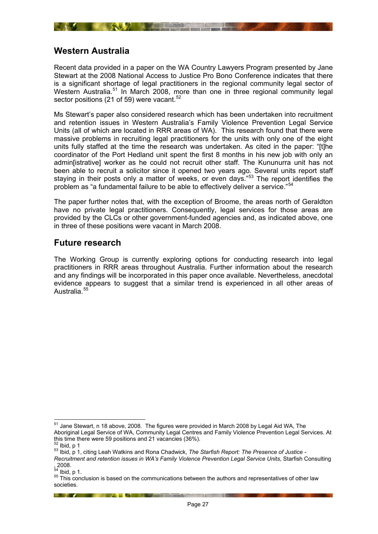## <span id="page-26-1"></span><span id="page-26-0"></span>**Western Australia**

Recent data provided in a paper on the WA Country Lawyers Program presented by Jane Stewart at the 2008 National Access to Justice Pro Bono Conference indicates that there is a significant shortage of legal practitioners in the regional community legal sector of Western Australia.<sup>[51](#page-26-3)</sup> In March 2008, more than one in three regional community legal sector positions (21 of 59) were vacant.<sup>[52](#page-26-4)</sup>

Ms Stewart's paper also considered research which has been undertaken into recruitment and retention issues in Western Australia's Family Violence Prevention Legal Service Units (all of which are located in RRR areas of WA). This research found that there were massive problems in recruiting legal practitioners for the units with only one of the eight units fully staffed at the time the research was undertaken. As cited in the paper: "[t]he coordinator of the Port Hedland unit spent the first 8 months in his new job with only an admin[istrative] worker as he could not recruit other staff. The Kununurra unit has not been able to recruit a solicitor since it opened two years ago. Several units report staff staying in their posts only a matter of weeks, or even days.<sup>"53</sup> The report identifies the problem as "a fundamental failure to be able to effectively deliver a service."[54](#page-26-6)

The paper further notes that, with the exception of Broome, the areas north of Geraldton have no private legal practitioners. Consequently, legal services for those areas are provided by the CLCs or other government-funded agencies and, as indicated above, one in three of these positions were vacant in March 2008.

#### <span id="page-26-2"></span>**Future research**

The Working Group is currently exploring options for conducting research into legal practitioners in RRR areas throughout Australia. Further information about the research and any findings will be incorporated in this paper once available. Nevertheless, anecdotal evidence appears to suggest that a similar trend is experienced in all other areas of Australia.<sup>[55](#page-26-7)</sup>

**EXAMPLE AND A REPORT OF PERSONAL PROPERTY OF PERSONAL PROPERTY OF PERSONAL PROPERTY OF PERSONAL PROPERTY** 

<span id="page-26-3"></span><sup>1</sup>  $51$  Jane Stewart, n 18 above, 2008. The figures were provided in March 2008 by Legal Aid WA, The Aboriginal Legal Service of WA, Community Legal Centres and Family Violence Prevention Legal Services. At this time there were 59 positions and 21 vacancies (36%).

<span id="page-26-5"></span><span id="page-26-4"></span><sup>&</sup>lt;sup>52</sup> Ibid, p 1<br><sup>53</sup> Ibid, p 1, citing Leah Watkins and Rona Chadwick, *The Starfish Report: The Presence of Justice -*

*Recruitment and retention issues in WA's Family Violence Prevention Legal Service Units*, Starfish Consulting

<span id="page-26-6"></span> $\frac{1}{64}$ , 2008.<br>  $\frac{1}{2}$  lbid, p 1.

<span id="page-26-7"></span><sup>&</sup>lt;sup>55</sup> This conclusion is based on the communications between the authors and representatives of other law societies.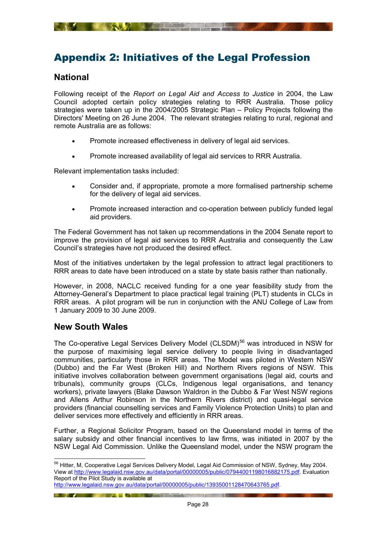# <span id="page-27-1"></span><span id="page-27-0"></span>Appendix 2: Initiatives of the Legal Profession

## <span id="page-27-2"></span>**National**

Following receipt of the *Report on Legal Aid and Access to Justice* in 2004, the Law Council adopted certain policy strategies relating to RRR Australia. Those policy strategies were taken up in the 2004/2005 Strategic Plan – Policy Projects following the Directors' Meeting on 26 June 2004. The relevant strategies relating to rural, regional and remote Australia are as follows:

- Promote increased effectiveness in delivery of legal aid services.
- Promote increased availability of legal aid services to RRR Australia.

Relevant implementation tasks included:

- Consider and, if appropriate, promote a more formalised partnership scheme for the delivery of legal aid services.
- Promote increased interaction and co-operation between publicly funded legal aid providers.

The Federal Government has not taken up recommendations in the 2004 Senate report to improve the provision of legal aid services to RRR Australia and consequently the Law Council's strategies have not produced the desired effect.

Most of the initiatives undertaken by the legal profession to attract legal practitioners to RRR areas to date have been introduced on a state by state basis rather than nationally.

However, in 2008, NACLC received funding for a one year feasibility study from the Attorney-General's Department to place practical legal training (PLT) students in CLCs in RRR areas. A pilot program will be run in conjunction with the ANU College of Law from 1 January 2009 to 30 June 2009.

## **New South Wales**

<span id="page-27-3"></span>The Co-operative Legal Services Delivery Model (CLSDM)<sup>[56](#page-27-4)</sup> was introduced in NSW for the purpose of maximising legal service delivery to people living in disadvantaged communities, particularly those in RRR areas. The Model was piloted in Western NSW (Dubbo) and the Far West (Broken Hill) and Northern Rivers regions of NSW. This initiative involves collaboration between government organisations (legal aid, courts and tribunals), community groups (CLCs, Indigenous legal organisations, and tenancy workers), private lawyers (Blake Dawson Waldron in the Dubbo & Far West NSW regions and Allens Arthur Robinson in the Northern Rivers district) and quasi-legal service providers (financial counselling services and Family Violence Protection Units) to plan and deliver services more effectively and efficiently in RRR areas.

Further, a Regional Solicitor Program, based on the Queensland model in terms of the salary subsidy and other financial incentives to law firms, was initiated in 2007 by the NSW Legal Aid Commission. Unlike the Queensland model, under the NSW program the

http://www.legalaid.nsw.gov.au/data/portal/00000005/public/13935001128470643765.pdf.

**EXAMPLE AND ACTUAL AND ACTUAL ACTIVITY OF A REPORT OF A REPORT OF A REPORT OF A REPORT OF A REPORT OF A REPORT** 

<span id="page-27-4"></span><sup>-</sup><sup>56</sup> Hitter, M, Cooperative Legal Services Delivery Model, Legal Aid Commission of NSW, Sydney, May 2004. View at http://www.legalaid.nsw.gov.au/data/portal/00000005/public/07944001198016882175.pdf. Evaluation Report of the Pilot Study is available at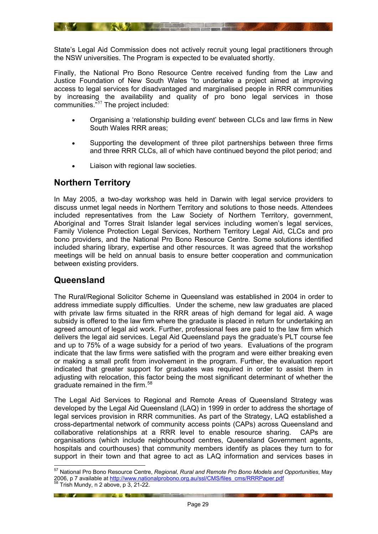<span id="page-28-0"></span>State's Legal Aid Commission does not actively recruit young legal practitioners through the NSW universities. The Program is expected to be evaluated shortly.

**A SERVICE CONTROLLER AND STRUCK AND A STRUCK AND A STRUCK AND A STRUCK AND A STRUCK AND A STRUCK AND A STRUCK** 

Finally, the National Pro Bono Resource Centre received funding from the Law and Justice Foundation of New South Wales "to undertake a project aimed at improving access to legal services for disadvantaged and marginalised people in RRR communities by increasing the availability and quality of pro bono legal services in those communities."[57](#page-28-3) The project included:

- Organising a 'relationship building event' between CLCs and law firms in New South Wales RRR areas;
- Supporting the development of three pilot partnerships between three firms and three RRR CLCs, all of which have continued beyond the pilot period; and
- Liaison with regional law societies.

## <span id="page-28-1"></span>**Northern Territory**

In May 2005, a two-day workshop was held in Darwin with legal service providers to discuss unmet legal needs in Northern Territory and solutions to those needs. Attendees included representatives from the Law Society of Northern Territory, government, Aboriginal and Torres Strait Islander legal services including women's legal services, Family Violence Protection Legal Services, Northern Territory Legal Aid, CLCs and pro bono providers, and the National Pro Bono Resource Centre. Some solutions identified included sharing library, expertise and other resources. It was agreed that the workshop meetings will be held on annual basis to ensure better cooperation and communication between existing providers.

## <span id="page-28-2"></span>**Queensland**

The Rural/Regional Solicitor Scheme in Queensland was established in 2004 in order to address immediate supply difficulties. Under the scheme, new law graduates are placed with private law firms situated in the RRR areas of high demand for legal aid. A wage subsidy is offered to the law firm where the graduate is placed in return for undertaking an agreed amount of legal aid work. Further, professional fees are paid to the law firm which delivers the legal aid services. Legal Aid Queensland pays the graduate's PLT course fee and up to 75% of a wage subsidy for a period of two years. Evaluations of the program indicate that the law firms were satisfied with the program and were either breaking even or making a small profit from involvement in the program. Further, the evaluation report indicated that greater support for graduates was required in order to assist them in adjusting with relocation, this factor being the most significant determinant of whether the graduate remained in the firm.<sup>[58](#page-28-4)</sup>

The Legal Aid Services to Regional and Remote Areas of Queensland Strategy was developed by the Legal Aid Queensland (LAQ) in 1999 in order to address the shortage of legal services provision in RRR communities. As part of the Strategy, LAQ established a cross-departmental network of community access points (CAPs) across Queensland and collaborative relationships at a RRR level to enable resource sharing. CAPs are organisations (which include neighbourhood centres, Queensland Government agents, hospitals and courthouses) that community members identify as places they turn to for support in their town and that agree to act as LAQ information and services bases in

<u>in the second control of the second control of the second control of the second control of the second control of the second control of the second control of the second control of the second control of the second control o</u>

1

<span id="page-28-3"></span><sup>57</sup> National Pro Bono Resource Centre, *Regional, Rural and Remote Pro Bono Models and Opportunities*, May 2006, p 7 available at http://www.nationalprobono.org.au/ssl/CMS/files\_cms/RRRPaper.pdf <sup>58</sup> Trish Mundy, n 2 above, p 3, 21-22.

<span id="page-28-4"></span>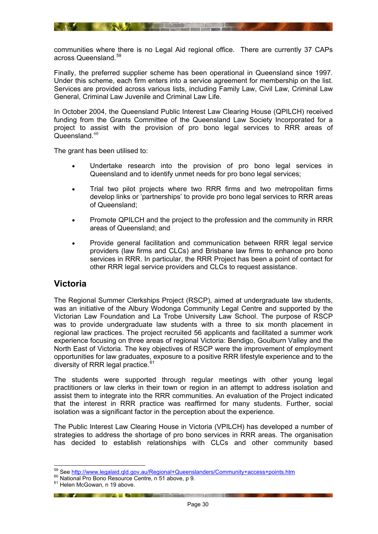<span id="page-29-0"></span>communities where there is no Legal Aid regional office. There are currently 37 CAPs across Queensland.<sup>[59](#page-29-2)</sup>

**A SERVICE CONTROLLER** 

Finally, the preferred supplier scheme has been operational in Queensland since 1997. Under this scheme, each firm enters into a service agreement for membership on the list. Services are provided across various lists, including Family Law, Civil Law, Criminal Law General, Criminal Law Juvenile and Criminal Law Life.

In October 2004, the Queensland Public Interest Law Clearing House (QPILCH) received funding from the Grants Committee of the Queensland Law Society Incorporated for a project to assist with the provision of pro bono legal services to RRR areas of Queensland. $60$ 

The grant has been utilised to:

- Undertake research into the provision of pro bono legal services in Queensland and to identify unmet needs for pro bono legal services;
- Trial two pilot projects where two RRR firms and two metropolitan firms develop links or 'partnerships' to provide pro bono legal services to RRR areas of Queensland;
- Promote QPILCH and the project to the profession and the community in RRR areas of Queensland; and
- Provide general facilitation and communication between RRR legal service providers (law firms and CLCs) and Brisbane law firms to enhance pro bono services in RRR. In particular, the RRR Project has been a point of contact for other RRR legal service providers and CLCs to request assistance.

## <span id="page-29-1"></span>**Victoria**

The Regional Summer Clerkships Project (RSCP), aimed at undergraduate law students, was an initiative of the Albury Wodonga Community Legal Centre and supported by the Victorian Law Foundation and La Trobe University Law School. The purpose of RSCP was to provide undergraduate law students with a three to six month placement in regional law practices. The project recruited 56 applicants and facilitated a summer work experience focusing on three areas of regional Victoria: Bendigo, Goulburn Valley and the North East of Victoria. The key objectives of RSCP were the improvement of employment opportunities for law graduates, exposure to a positive RRR lifestyle experience and to the diversity of RRR legal practice. $61$ 

The students were supported through regular meetings with other young legal practitioners or law clerks in their town or region in an attempt to address isolation and assist them to integrate into the RRR communities. An evaluation of the Project indicated that the interest in RRR practice was reaffirmed for many students. Further, social isolation was a significant factor in the perception about the experience.

The Public Interest Law Clearing House in Victoria (VPILCH) has developed a number of strategies to address the shortage of pro bono services in RRR areas. The organisation has decided to establish relationships with CLCs and other community based

**EXAMPLE AND ACTIVITY OF THE REAL PROPERTY OF THE REAL PROPERTY.** 

1

<span id="page-29-2"></span><sup>&</sup>lt;sup>59</sup> See <u>http://www.legalaid.qld.gov.au/Regional+Queenslanders/Community+access+points.htm</u><br><sup>60</sup> National Pro Bono Resource Centre, n 51 above, p 9.<br><sup>61</sup> Helen McGowan, n 19 above.

<span id="page-29-3"></span>

<span id="page-29-4"></span>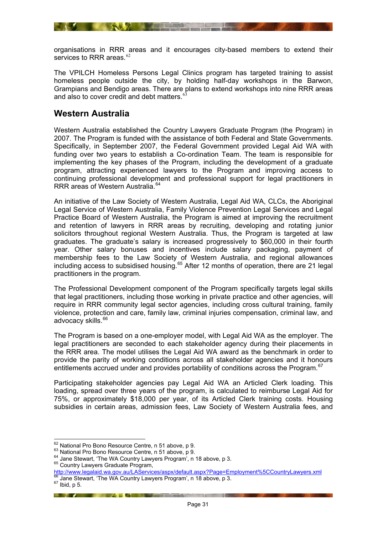<span id="page-30-0"></span>organisations in RRR areas and it encourages city-based members to extend their services to RRR areas.<sup>[62](#page-30-2)</sup>

**REAL PROPERTY OF STREET** 

The VPILCH Homeless Persons Legal Clinics program has targeted training to assist homeless people outside the city, by holding half-day workshops in the Barwon, Grampians and Bendigo areas. There are plans to extend workshops into nine RRR areas and also to cover credit and debt matters. $65$ 

#### <span id="page-30-1"></span>**Western Australia**

Western Australia established the Country Lawyers Graduate Program (the Program) in 2007. The Program is funded with the assistance of both Federal and State Governments. Specifically, in September 2007, the Federal Government provided Legal Aid WA with funding over two years to establish a Co-ordination Team. The team is responsible for implementing the key phases of the Program, including the development of a graduate program, attracting experienced lawyers to the Program and improving access to continuing professional development and professional support for legal practitioners in RRR areas of Western Australia.<sup>64</sup>

An initiative of the Law Society of Western Australia, Legal Aid WA, CLCs, the Aboriginal Legal Service of Western Australia, Family Violence Prevention Legal Services and Legal Practice Board of Western Australia, the Program is aimed at improving the recruitment and retention of lawyers in RRR areas by recruiting, developing and rotating junior solicitors throughout regional Western Australia. Thus, the Program is targeted at law graduates. The graduate's salary is increased progressively to \$60,000 in their fourth year. Other salary bonuses and incentives include salary packaging, payment of membership fees to the Law Society of Western Australia, and regional allowances including access to subsidised housing.<sup>65</sup> After 12 months of operation, there are 21 legal practitioners in the program.

The Professional Development component of the Program specifically targets legal skills that legal practitioners, including those working in private practice and other agencies, will require in RRR community legal sector agencies, including cross cultural training, family violence, protection and care, family law, criminal injuries compensation, criminal law, and advocacy skills.<sup>[66](#page-30-6)</sup>

The Program is based on a one-employer model, with Legal Aid WA as the employer. The legal practitioners are seconded to each stakeholder agency during their placements in the RRR area. The model utilises the Legal Aid WA award as the benchmark in order to provide the parity of working conditions across all stakeholder agencies and it honours entitlements accrued under and provides portability of conditions across the Program.<sup>[67](#page-30-7)</sup>

Participating stakeholder agencies pay Legal Aid WA an Articled Clerk loading. This loading, spread over three years of the program, is calculated to reimburse Legal Aid for 75%, or approximately \$18,000 per year, of its Articled Clerk training costs. Housing subsidies in certain areas, admission fees, Law Society of Western Australia fees, and

<u>in the second second in the second second in the second second in the second in the second in the second in the second in the second in the second in the second in the second in the second in the second in the second in t</u>

<span id="page-30-5"></span>

<sup>62</sup> National Pro Bono Resource Centre, n 51 above, p 9.

<span id="page-30-4"></span><span id="page-30-3"></span><span id="page-30-2"></span><sup>63</sup> National Pro Bono Resource Centre, n 51 above, p 9.<br><sup>64</sup> Jane Stewart, 'The WA Country Lawyers Program', n 18 above, p 3.<br><sup>65</sup> Country Lawyers Graduate Program,

<span id="page-30-6"></span>http://www.legalaid.wa.gov.au/LAServices/aspx/default.aspx?Page=Employment%5CCountryLawyers.xml<br><sup>66</sup> Jane Stewart, 'The WA Country Lawyers Program', n 18 above, p 3.<br><sup>67</sup> Ibid. p 5.

<span id="page-30-7"></span>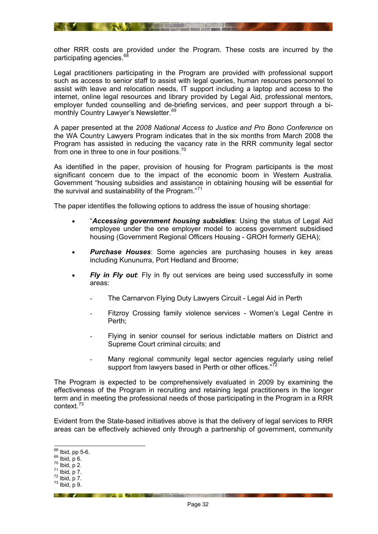other RRR costs are provided under the Program. These costs are incurred by the participating agencies.<sup>[68](#page-31-0)</sup>

**ANY AND AND ANY AND ANY** 

Legal practitioners participating in the Program are provided with professional support such as access to senior staff to assist with legal queries, human resources personnel to assist with leave and relocation needs, IT support including a laptop and access to the internet, online legal resources and library provided by Legal Aid, professional mentors, employer funded counselling and de-briefing services, and peer support through a bimonthly Country Lawyer's Newsletter.<sup>69</sup>

A paper presented at the *2008 National Access to Justice and Pro Bono Conference* on the WA Country Lawyers Program indicates that in the six months from March 2008 the Program has assisted in reducing the vacancy rate in the RRR community legal sector from one in three to one in four positions.<sup>[70](#page-31-2)</sup>

As identified in the paper, provision of housing for Program participants is the most significant concern due to the impact of the economic boom in Western Australia. Government "housing subsidies and assistance in obtaining housing will be essential for the survival and sustainability of the Program."<sup>71</sup>

The paper identifies the following options to address the issue of housing shortage:

- "*Accessing government housing subsidies*: Using the status of Legal Aid employee under the one employer model to access government subsidised housing (Government Regional Officers Housing - GROH formerly GEHA);
- **Purchase Houses:** Some agencies are purchasing houses in key areas including Kununurra, Port Hedland and Broome;
- *Fly in Fly out*: Fly in fly out services are being used successfully in some areas:
	- The Carnarvon Flying Duty Lawyers Circuit Legal Aid in Perth
	- Fitzroy Crossing family violence services Women's Legal Centre in Perth;
	- Flying in senior counsel for serious indictable matters on District and Supreme Court criminal circuits; and
	- Many regional community legal sector agencies regularly using relief support from lawyers based in Perth or other offices."<sup>[72](#page-31-4)</sup>

The Program is expected to be comprehensively evaluated in 2009 by examining the effectiveness of the Program in recruiting and retaining legal practitioners in the longer term and in meeting the professional needs of those participating in the Program in a RRR context.[73](#page-31-5)

Evident from the State-based initiatives above is that the delivery of legal services to RRR areas can be effectively achieved only through a partnership of government, community

**Example 19 and 19 and 19 and 19 and 19 and 19 and 19 and 19 and 19 and 19 and 19 and 19 and 19 and 19 and 19 and 19 and 19 and 19 and 19 and 19 and 19 and 19 and 19 and 19 and 19 and 19 and 19 and 19 and 19 and 19 and 19** 

<sup>68</sup> Ibid, pp 5-6.

<span id="page-31-2"></span><span id="page-31-1"></span><span id="page-31-0"></span> $\frac{69}{70}$  Ibid, p 6.<br>  $\frac{70}{71}$  Ibid, p 7.<br>  $\frac{72}{73}$  Ibid, p 7.<br>  $\frac{73}{71}$  Ibid, p 9.

<span id="page-31-3"></span>

<span id="page-31-4"></span>

<span id="page-31-5"></span>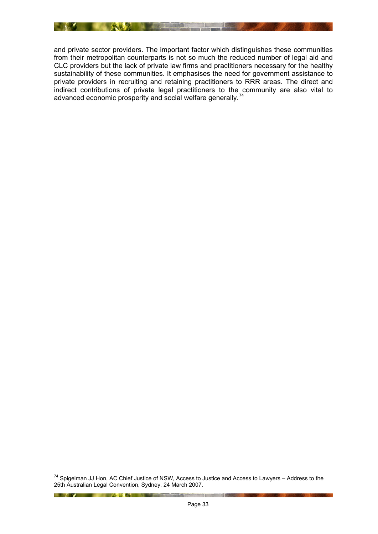

and private sector providers. The important factor which distinguishes these communities from their metropolitan counterparts is not so much the reduced number of legal aid and CLC providers but the lack of private law firms and practitioners necessary for the healthy sustainability of these communities. It emphasises the need for government assistance to private providers in recruiting and retaining practitioners to RRR areas. The direct and indirect contributions of private legal practitioners to the community are also vital to advanced economic prosperity and social welfare generally.<sup>[74](#page-32-0)</sup>

**The Community of the Community of the Community of the Community of the Community of the Community of the Community** 

<span id="page-32-0"></span><sup>1</sup>  $74$  Spigelman JJ Hon, AC Chief Justice of NSW, Access to Justice and Access to Lawyers – Address to the 25th Australian Legal Convention, Sydney, 24 March 2007.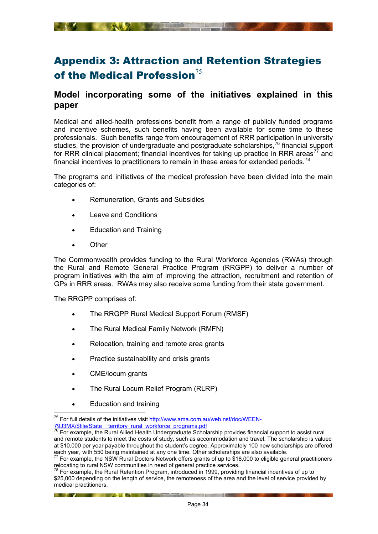# <span id="page-33-1"></span><span id="page-33-0"></span>Appendix 3: Attraction and Retention Strategies of the Medical Profession $^{75}$  $^{75}$  $^{75}$

## <span id="page-33-2"></span>**Model incorporating some of the initiatives explained in this paper**

Medical and allied-health professions benefit from a range of publicly funded programs and incentive schemes, such benefits having been available for some time to these professionals. Such benefits range from encouragement of RRR participation in university studies, the provision of undergraduate and postgraduate scholarships, $^{76}$  financial support for RRR clinical placement; financial incentives for taking up practice in RRR areas<sup>[77](#page-33-5)</sup> and financial incentives to practitioners to remain in these areas for extended periods.<sup>[78](#page-33-6)</sup>

The programs and initiatives of the medical profession have been divided into the main categories of:

- Remuneration, Grants and Subsidies
- Leave and Conditions
- Education and Training
- Other

The Commonwealth provides funding to the Rural Workforce Agencies (RWAs) through the Rural and Remote General Practice Program (RRGPP) to deliver a number of program initiatives with the aim of improving the attraction, recruitment and retention of GPs in RRR areas. RWAs may also receive some funding from their state government.

The RRGPP comprises of:

- The RRGPP Rural Medical Support Forum (RMSF)
- The Rural Medical Family Network (RMFN)
- Relocation, training and remote area grants
- Practice sustainability and crisis grants
- CME/locum grants
- The Rural Locum Relief Program (RLRP)

**Example 19 And 19 And 19 And 19 And 19 And 19 And 19 And 19 And 19 And 19 And 19 And 19 And 19 And 19 And 19 And 19 And 19 And 19 And 19 And 19 And 19 And 19 And 19 And 19 And 19 And 19 And 19 And 19 And 19 And 19 And 19** 

• Education and training

 $\overline{a}$ 

<span id="page-33-3"></span><sup>&</sup>lt;sup>75</sup> For full details of the initiatives visit http://www.ama.com.au/web.nsf/doc/WEEN-79J3MX/\$file/State\_\_territory\_rural\_workforce\_programs.pdf

<span id="page-33-4"></span><sup>&</sup>lt;sup>76</sup> For example, the Rural Allied Health Undergraduate Scholarship provides financial support to assist rural and remote students to meet the costs of study, such as accommodation and travel. The scholarship is valued at \$10,000 per year payable throughout the student's degree. Approximately 100 new scholarships are offered each year, with 550 being maintained at any one time. Other scholarships are also available.

<span id="page-33-5"></span> $77$  For example, the NSW Rural Doctors Network offers grants of up to \$18,000 to eligible general practitioners relocating to rural NSW communities in need of general practice services.

<span id="page-33-6"></span> $78$  For example, the Rural Retention Program, introduced in 1999, providing financial incentives of up to \$25,000 depending on the length of service, the remoteness of the area and the level of service provided by medical practitioners.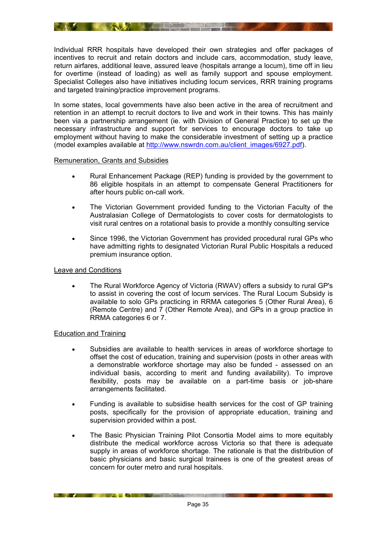<span id="page-34-0"></span>Individual RRR hospitals have developed their own strategies and offer packages of incentives to recruit and retain doctors and include cars, accommodation, study leave, return airfares, additional leave, assured leave (hospitals arrange a locum), time off in lieu for overtime (instead of loading) as well as family support and spouse employment. Specialist Colleges also have initiatives including locum services, RRR training programs and targeted training/practice improvement programs.

**The SNAME AND A REPORT OF THE PARTIES** 

In some states, local governments have also been active in the area of recruitment and retention in an attempt to recruit doctors to live and work in their towns. This has mainly been via a partnership arrangement (ie. with Division of General Practice) to set up the necessary infrastructure and support for services to encourage doctors to take up employment without having to make the considerable investment of setting up a practice (model examples available at [http://www.nswrdn.com.au/client\\_images/6927.pdf\)](http://www.nswrdn.com.au/client_images/6927.pdf).

#### <span id="page-34-1"></span>Remuneration, Grants and Subsidies

- Rural Enhancement Package (REP) funding is provided by the government to 86 eligible hospitals in an attempt to compensate General Practitioners for after hours public on-call work.
- The Victorian Government provided funding to the Victorian Faculty of the Australasian College of Dermatologists to cover costs for dermatologists to visit rural centres on a rotational basis to provide a monthly consulting service
- Since 1996, the Victorian Government has provided procedural rural GPs who have admitting rights to designated Victorian Rural Public Hospitals a reduced premium insurance option.

#### <span id="page-34-2"></span>Leave and Conditions

• The Rural Workforce Agency of Victoria (RWAV) offers a subsidy to rural GP's to assist in covering the cost of locum services. The Rural Locum Subsidy is available to solo GPs practicing in RRMA categories 5 (Other Rural Area), 6 (Remote Centre) and 7 (Other Remote Area), and GPs in a group practice in RRMA categories 6 or 7.

#### <span id="page-34-3"></span>Education and Training

- Subsidies are available to health services in areas of workforce shortage to offset the cost of education, training and supervision (posts in other areas with a demonstrable workforce shortage may also be funded - assessed on an individual basis, according to merit and funding availability). To improve flexibility, posts may be available on a part-time basis or job-share arrangements facilitated.
- Funding is available to subsidise health services for the cost of GP training posts, specifically for the provision of appropriate education, training and supervision provided within a post.
- The Basic Physician Training Pilot Consortia Model aims to more equitably distribute the medical workforce across Victoria so that there is adequate supply in areas of workforce shortage. The rationale is that the distribution of basic physicians and basic surgical trainees is one of the greatest areas of concern for outer metro and rural hospitals.

**EXAMPLE AND RESERVE AND RESERVE AND RESERVE AND RESERVE AND RESERVE AND RESERVE AND RESERVE AND RESERVE AND RE**